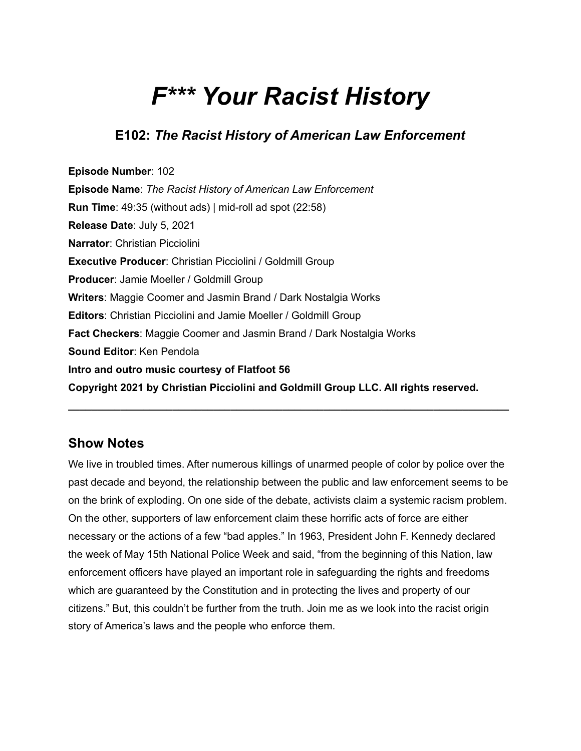# *F\*\*\* Your Racist History*

## **E102:** *The Racist History of American Law Enforcement*

**Episode Number**: 102 **Episode Name**: *The Racist History of American Law Enforcement* **Run Time**: 49:35 (without ads) | mid-roll ad spot (22:58) **Release Date**: July 5, 2021 **Narrator**: Christian Picciolini **Executive Producer**: Christian Picciolini / Goldmill Group **Producer**: Jamie Moeller / Goldmill Group **Writers**: Maggie Coomer and Jasmin Brand / Dark Nostalgia Works **Editors**: Christian Picciolini and Jamie Moeller / Goldmill Group **Fact Checkers**: Maggie Coomer and Jasmin Brand / Dark Nostalgia Works **Sound Editor**: Ken Pendola **Intro and outro music courtesy of Flatfoot 56 Copyright 2021 by Christian Picciolini and Goldmill Group LLC. All rights reserved.**

## **Show Notes**

We live in troubled times. After numerous killings of unarmed people of color by police over the past decade and beyond, the relationship between the public and law enforcement seems to be on the brink of exploding. On one side of the debate, activists claim a systemic racism problem. On the other, supporters of law enforcement claim these horrific acts of force are either necessary or the actions of a few "bad apples." In 1963, President John F. Kennedy declared the week of May 15th National Police Week and said, "from the beginning of this Nation, law enforcement officers have played an important role in safeguarding the rights and freedoms which are guaranteed by the Constitution and in protecting the lives and property of our citizens." But, this couldn't be further from the truth. Join me as we look into the racist origin story of America's laws and the people who enforce them.

**\_\_\_\_\_\_\_\_\_\_\_\_\_\_\_\_\_\_\_\_\_\_\_\_\_\_\_\_\_\_\_\_\_\_\_\_\_\_\_\_\_\_\_\_\_\_\_\_\_\_\_\_\_\_\_\_\_\_\_\_\_\_\_\_\_\_\_\_\_\_\_\_\_\_\_\_**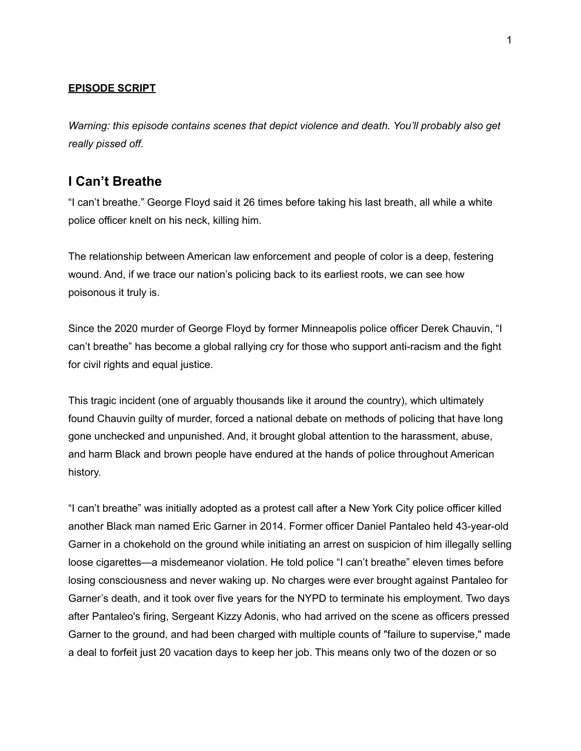#### **EPISODE SCRIPT**

*Warning: this episode contains scenes that depict violence and death. You'll probably also get really pissed off.*

#### **I Can't Breathe**

"I can't breathe." George Floyd said it 26 times before taking his last breath, all while a white police officer knelt on his neck, killing him.

The relationship between American law enforcement and people of color is a deep, festering wound. And, if we trace our nation's policing back to its earliest roots, we can see how poisonous it truly is.

Since the 2020 murder of George Floyd by former Minneapolis police officer Derek Chauvin, "I can't breathe" has become a global rallying cry for those who support anti-racism and the fight for civil rights and equal justice.

This tragic incident (one of arguably thousands like it around the country), which ultimately found Chauvin guilty of murder, forced a national debate on methods of policing that have long gone unchecked and unpunished. And, it brought global attention to the harassment, abuse, and harm Black and brown people have endured at the hands of police throughout American history.

"I can't breathe" was initially adopted as a protest call after a New York City police officer killed another Black man named Eric Garner in 2014. Former officer Daniel Pantaleo held 43-year-old Garner in a chokehold on the ground while initiating an arrest on suspicion of him illegally selling loose cigarettes—a misdemeanor violation. He told police "I can't breathe" eleven times before losing consciousness and never waking up. No charges were ever brought against Pantaleo for Garner's death, and it took over five years for the NYPD to terminate his employment. Two days after Pantaleo's firing, Sergeant Kizzy Adonis, who had arrived on the scene as officers pressed Garner to the ground, and had been charged with multiple counts of "failure to supervise," made a deal to forfeit just 20 vacation days to keep her job. This means only two of the dozen or so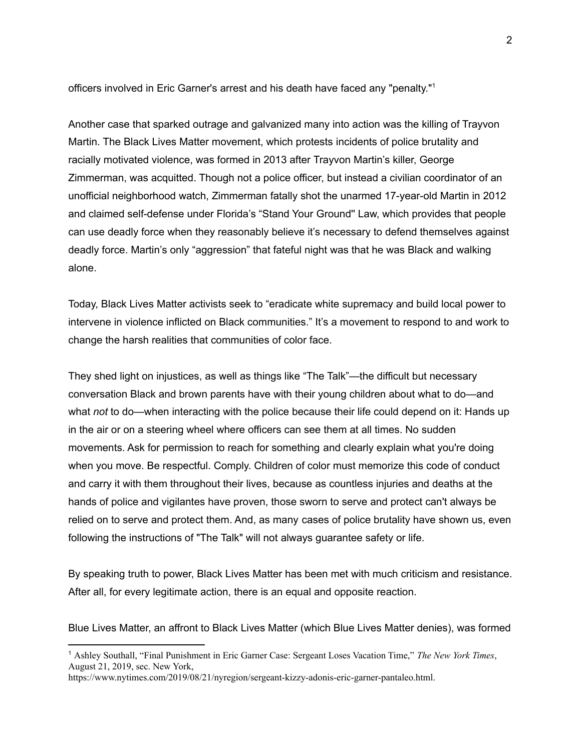officers involved in Eric Garner's arrest and his death have faced any "penalty." 1

Another case that sparked outrage and galvanized many into action was the killing of Trayvon Martin. The Black Lives Matter movement, which protests incidents of police brutality and racially motivated violence, was formed in 2013 after Trayvon Martin's killer, George Zimmerman, was acquitted. Though not a police officer, but instead a civilian coordinator of an unofficial neighborhood watch, Zimmerman fatally shot the unarmed 17-year-old Martin in 2012 and claimed self-defense under Florida's "Stand Your Ground'' Law, which provides that people can use deadly force when they reasonably believe it's necessary to defend themselves against deadly force. Martin's only "aggression" that fateful night was that he was Black and walking alone.

Today, Black Lives Matter activists seek to "eradicate white supremacy and build local power to intervene in violence inflicted on Black communities." It's a movement to respond to and work to change the harsh realities that communities of color face.

They shed light on injustices, as well as things like "The Talk"—the difficult but necessary conversation Black and brown parents have with their young children about what to do—and what *not* to do—when interacting with the police because their life could depend on it: Hands up in the air or on a steering wheel where officers can see them at all times. No sudden movements. Ask for permission to reach for something and clearly explain what you're doing when you move. Be respectful. Comply. Children of color must memorize this code of conduct and carry it with them throughout their lives, because as countless injuries and deaths at the hands of police and vigilantes have proven, those sworn to serve and protect can't always be relied on to serve and protect them. And, as many cases of police brutality have shown us, even following the instructions of "The Talk" will not always guarantee safety or life.

By speaking truth to power, Black Lives Matter has been met with much criticism and resistance. After all, for every legitimate action, there is an equal and opposite reaction.

Blue Lives Matter, an affront to Black Lives Matter (which Blue Lives Matter denies), was formed

<sup>1</sup> Ashley Southall, "Final Punishment in Eric Garner Case: Sergeant Loses Vacation Time," *The New York Times*, August 21, 2019, sec. New York,

[https://www.nytimes.com/2019/08/21/nyregion/sergeant-kizzy-adonis-eric-garner-pantaleo.html.](https://www.nytimes.com/2019/08/21/nyregion/sergeant-kizzy-adonis-eric-garner-pantaleo.html)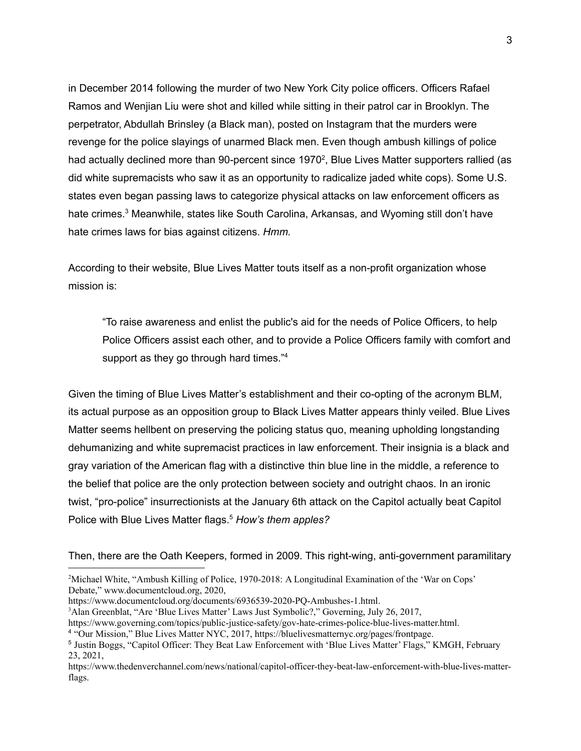in December 2014 following the murder of two New York City police officers. Officers Rafael Ramos and Wenjian Liu were shot and killed while sitting in their patrol car in Brooklyn. The perpetrator, Abdullah Brinsley (a Black man), posted on Instagram that the murders were revenge for the police slayings of unarmed Black men. Even though ambush killings of police had actually declined more than 90-percent since 1970<sup>2</sup>, Blue Lives Matter supporters rallied (as did white supremacists who saw it as an opportunity to radicalize jaded white cops). Some U.S. states even began passing laws to categorize physical attacks on law enforcement officers as hate crimes.<sup>3</sup> Meanwhile, states like South Carolina, Arkansas, and Wyoming still don't have hate crimes laws for bias against citizens. *Hmm.*

According to their website, Blue Lives Matter touts itself as a non-profit organization whose mission is:

"To raise awareness and enlist the public's aid for the needs of Police Officers, to help Police Officers assist each other, and to provide a Police Officers family with comfort and support as they go through hard times."<sup>4</sup>

Given the timing of Blue Lives Matter's establishment and their co-opting of the acronym BLM, its actual purpose as an opposition group to Black Lives Matter appears thinly veiled. Blue Lives Matter seems hellbent on preserving the policing status quo, meaning upholding longstanding dehumanizing and white supremacist practices in law enforcement. Their insignia is a black and gray variation of the American flag with a distinctive thin blue line in the middle, a reference to the belief that police are the only protection between society and outright chaos. In an ironic twist, "pro-police" insurrectionists at the January 6th attack on the Capitol actually beat Capitol Police with Blue Lives Matter flags. <sup>5</sup> *How's them apples?*

Then, there are the Oath Keepers, formed in 2009. This right-wing, anti-government paramilitary

<sup>&</sup>lt;sup>2</sup>Michael White, "Ambush Killing of Police, 1970-2018: A Longitudinal Examination of the 'War on Cops' Debate," www.documentcloud.org, 2020,

[https://www.documentcloud.org/documents/6936539-2020-PQ-Ambushes-1.html.](https://www.documentcloud.org/documents/6936539-2020-PQ-Ambushes-1.html)

<sup>&</sup>lt;sup>3</sup>Alan Greenblat, "Are 'Blue Lives Matter' Laws Just Symbolic?," Governing, July 26, 2017,

[https://www.governing.com/topics/public-justice-safety/gov-hate-crimes-police-blue-lives-matter.html.](https://www.governing.com/topics/public-justice-safety/gov-hate-crimes-police-blue-lives-matter.html)

<sup>4</sup> "Our Mission," Blue Lives Matter NYC, 2017, [https://bluelivesmatternyc.org/pages/frontpage.](https://bluelivesmatternyc.org/pages/frontpage)

<sup>5</sup> Justin Boggs, "Capitol Officer: They Beat Law Enforcement with 'Blue Lives Matter' Flags," KMGH, February 23, 2021,

[https://www.thedenverchannel.com/news/national/capitol-officer-they-beat-law-enforcement-with-blue-lives-matter](https://www.thedenverchannel.com/news/national/capitol-officer-they-beat-law-enforcement-with-blue-lives-matter-flags)[flags](https://www.thedenverchannel.com/news/national/capitol-officer-they-beat-law-enforcement-with-blue-lives-matter-flags).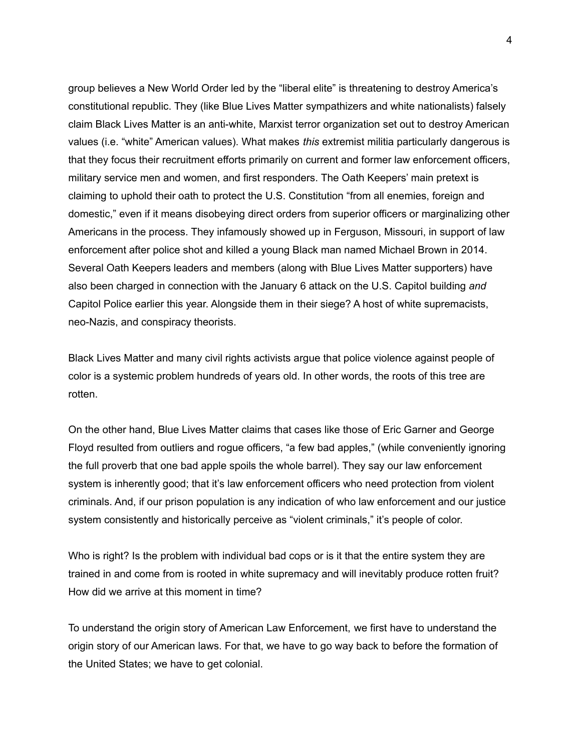group believes a New World Order led by the "liberal elite" is threatening to destroy America's constitutional republic. They (like Blue Lives Matter sympathizers and white nationalists) falsely claim Black Lives Matter is an anti-white, Marxist terror organization set out to destroy American values (i.e. "white" American values). What makes *this* extremist militia particularly dangerous is that they focus their recruitment efforts primarily on current and former law enforcement officers, military service men and women, and first responders. The Oath Keepers' main pretext is claiming to uphold their oath to protect the U.S. Constitution "from all enemies, foreign and domestic," even if it means disobeying direct orders from superior officers or marginalizing other Americans in the process. They infamously showed up in Ferguson, Missouri, in support of law enforcement after police shot and killed a young Black man named Michael Brown in 2014. Several Oath Keepers leaders and members (along with Blue Lives Matter supporters) have also been charged in connection with the January 6 attack on the U.S. Capitol building *and* Capitol Police earlier this year. Alongside them in their siege? A host of white supremacists, neo-Nazis, and conspiracy theorists.

Black Lives Matter and many civil rights activists argue that police violence against people of color is a systemic problem hundreds of years old. In other words, the roots of this tree are rotten.

On the other hand, Blue Lives Matter claims that cases like those of Eric Garner and George Floyd resulted from outliers and rogue officers, "a few bad apples," (while conveniently ignoring the full proverb that one bad apple spoils the whole barrel). They say our law enforcement system is inherently good; that it's law enforcement officers who need protection from violent criminals. And, if our prison population is any indication of who law enforcement and our justice system consistently and historically perceive as "violent criminals," it's people of color.

Who is right? Is the problem with individual bad cops or is it that the entire system they are trained in and come from is rooted in white supremacy and will inevitably produce rotten fruit? How did we arrive at this moment in time?

To understand the origin story of American Law Enforcement, we first have to understand the origin story of our American laws. For that, we have to go way back to before the formation of the United States; we have to get colonial.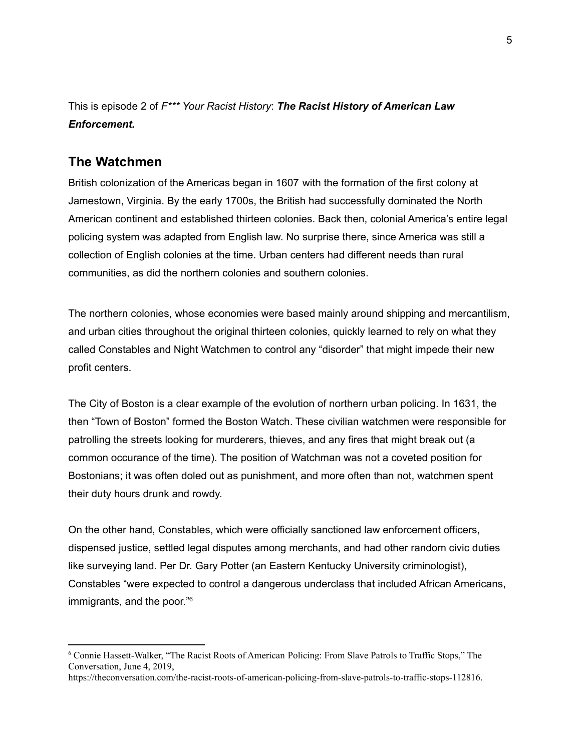This is episode 2 of *F\*\*\* Your Racist History*: *The Racist History of American Law Enforcement.*

#### **The Watchmen**

British colonization of the Americas began in 1607 with the formation of the first colony at Jamestown, Virginia. By the early 1700s, the British had successfully dominated the North American continent and established thirteen colonies. Back then, colonial America's entire legal policing system was adapted from English law. No surprise there, since America was still a collection of English colonies at the time. Urban centers had different needs than rural communities, as did the northern colonies and southern colonies.

The northern colonies, whose economies were based mainly around shipping and mercantilism, and urban cities throughout the original thirteen colonies, quickly learned to rely on what they called Constables and Night Watchmen to control any "disorder" that might impede their new profit centers.

The City of Boston is a clear example of the evolution of northern urban policing. In 1631, the then "Town of Boston" formed the Boston Watch. These civilian watchmen were responsible for patrolling the streets looking for murderers, thieves, and any fires that might break out (a common occurance of the time). The position of Watchman was not a coveted position for Bostonians; it was often doled out as punishment, and more often than not, watchmen spent their duty hours drunk and rowdy.

On the other hand, Constables, which were officially sanctioned law enforcement officers, dispensed justice, settled legal disputes among merchants, and had other random civic duties like surveying land. Per Dr. Gary Potter (an Eastern Kentucky University criminologist), Constables "were expected to control a dangerous underclass that included African Americans, immigrants, and the poor." 6

<sup>6</sup> Connie Hassett-Walker, "The Racist Roots of American Policing: From Slave Patrols to Traffic Stops," The Conversation, June 4, 2019,

<https://theconversation.com/the-racist-roots-of-american-policing-from-slave-patrols-to-traffic-stops-112816>.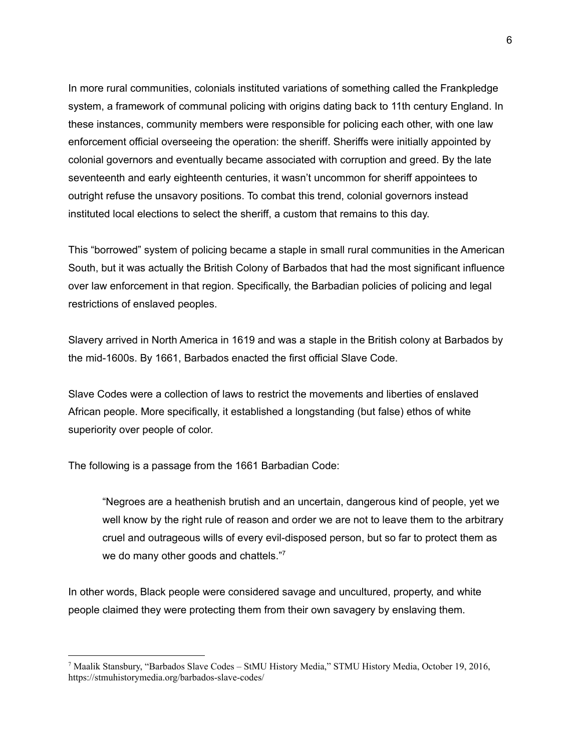In more rural communities, colonials instituted variations of something called the Frankpledge system, a framework of communal policing with origins dating back to 11th century England. In these instances, community members were responsible for policing each other, with one law enforcement official overseeing the operation: the sheriff. Sheriffs were initially appointed by colonial governors and eventually became associated with corruption and greed. By the late seventeenth and early eighteenth centuries, it wasn't uncommon for sheriff appointees to outright refuse the unsavory positions. To combat this trend, colonial governors instead instituted local elections to select the sheriff, a custom that remains to this day.

This "borrowed" system of policing became a staple in small rural communities in the American South, but it was actually the British Colony of Barbados that had the most significant influence over law enforcement in that region. Specifically, the Barbadian policies of policing and legal restrictions of enslaved peoples.

Slavery arrived in North America in 1619 and was a staple in the British colony at Barbados by the mid-1600s. By 1661, Barbados enacted the first official Slave Code.

Slave Codes were a collection of laws to restrict the movements and liberties of enslaved African people. More specifically, it established a longstanding (but false) ethos of white superiority over people of color.

The following is a passage from the 1661 Barbadian Code:

"Negroes are a heathenish brutish and an uncertain, dangerous kind of people, yet we well know by the right rule of reason and order we are not to leave them to the arbitrary cruel and outrageous wills of every evil-disposed person, but so far to protect them as we do many other goods and chattels."7

In other words, Black people were considered savage and uncultured, property, and white people claimed they were protecting them from their own savagery by enslaving them.

<sup>7</sup> Maalik Stansbury, "Barbados Slave Codes – StMU History Media," STMU History Media, October 19, 2016, <https://stmuhistorymedia.org/barbados-slave-codes/>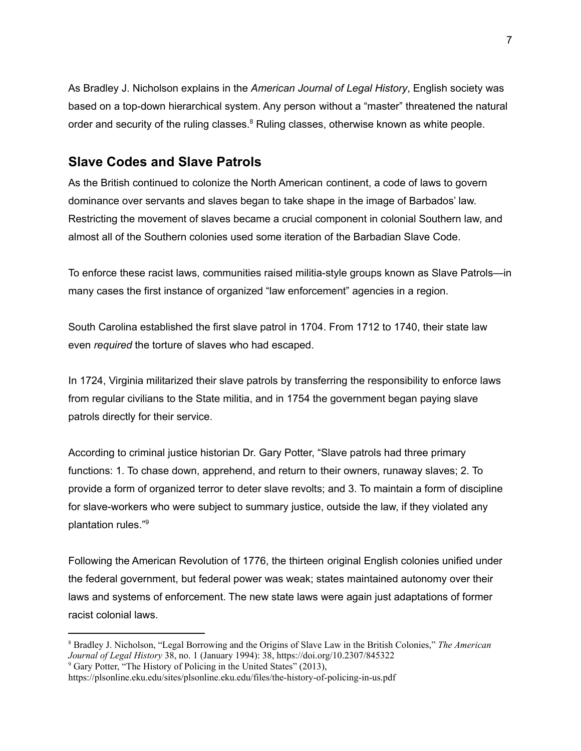As Bradley J. Nicholson explains in the *American Journal of Legal History*, English society was based on a top-down hierarchical system. Any person without a "master" threatened the natural order and security of the ruling classes.<sup>8</sup> Ruling classes, otherwise known as white people.

### **Slave Codes and Slave Patrols**

As the British continued to colonize the North American continent, a code of laws to govern dominance over servants and slaves began to take shape in the image of Barbados' law. Restricting the movement of slaves became a crucial component in colonial Southern law, and almost all of the Southern colonies used some iteration of the Barbadian Slave Code.

To enforce these racist laws, communities raised militia-style groups known as Slave Patrols—in many cases the first instance of organized "law enforcement" agencies in a region.

South Carolina established the first slave patrol in 1704. From 1712 to 1740, their state law even *required* the torture of slaves who had escaped.

In 1724, Virginia militarized their slave patrols by transferring the responsibility to enforce laws from regular civilians to the State militia, and in 1754 the government began paying slave patrols directly for their service.

According to criminal justice historian Dr. Gary Potter, "Slave patrols had three primary functions: 1. To chase down, apprehend, and return to their owners, runaway slaves; 2. To provide a form of organized terror to deter slave revolts; and 3. To maintain a form of discipline for slave-workers who were subject to summary justice, outside the law, if they violated any plantation rules." 9

Following the American Revolution of 1776, the thirteen original English colonies unified under the federal government, but federal power was weak; states maintained autonomy over their laws and systems of enforcement. The new state laws were again just adaptations of former racist colonial laws.

<sup>8</sup> Bradley J. Nicholson, "Legal Borrowing and the Origins of Slave Law in the British Colonies," *The American Journal of Legal History* 38, no. 1 (January 1994): 38, [https://doi.org/10.2307/845322](https://www.mybib.com/10.2307/845322)

<sup>&</sup>lt;sup>9</sup> Gary Potter, "The History of Policing in the United States" (2013),

<https://plsonline.eku.edu/sites/plsonline.eku.edu/files/the-history-of-policing-in-us.pdf>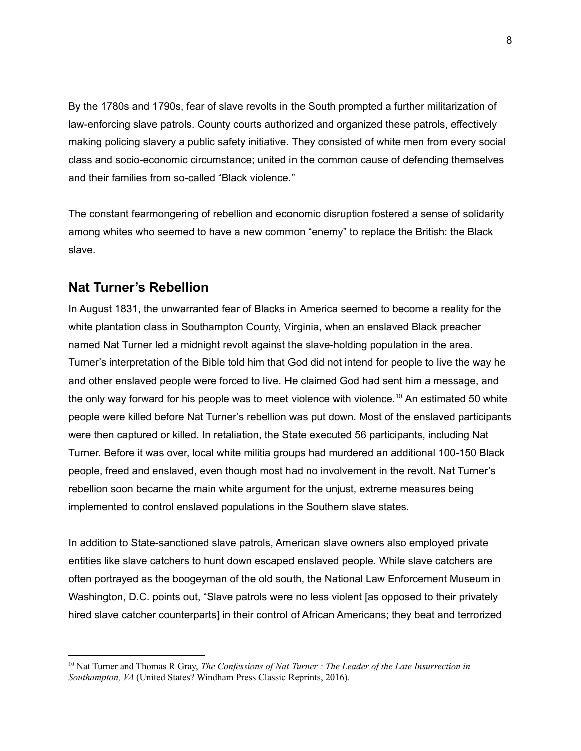By the 1780s and 1790s, fear of slave revolts in the South prompted a further militarization of law-enforcing slave patrols. County courts authorized and organized these patrols, effectively making policing slavery a public safety initiative. They consisted of white men from every social class and socio-economic circumstance; united in the common cause of defending themselves and their families from so-called "Black violence."

The constant fearmongering of rebellion and economic disruption fostered a sense of solidarity among whites who seemed to have a new common "enemy" to replace the British: the Black slave.

## **Nat Turner's Rebellion**

In August 1831, the unwarranted fear of Blacks in America seemed to become a reality for the white plantation class in Southampton County, Virginia, when an enslaved Black preacher named Nat Turner led a midnight revolt against the slave-holding population in the area. Turner's interpretation of the Bible told him that God did not intend for people to live the way he and other enslaved people were forced to live. He claimed God had sent him a message, and the only way forward for his people was to meet violence with violence. <sup>10</sup> An estimated 50 white people were killed before Nat Turner's rebellion was put down. Most of the enslaved participants were then captured or killed. In retaliation, the State executed 56 participants, including Nat Turner. Before it was over, local white militia groups had murdered an additional 100-150 Black people, freed and enslaved, even though most had no involvement in the revolt. Nat Turner's rebellion soon became the main white argument for the unjust, extreme measures being implemented to control enslaved populations in the Southern slave states.

In addition to State-sanctioned slave patrols, American slave owners also employed private entities like slave catchers to hunt down escaped enslaved people. While slave catchers are often portrayed as the boogeyman of the old south, the National Law Enforcement Museum in Washington, D.C. points out, "Slave patrols were no less violent [as opposed to their privately hired slave catcher counterparts] in their control of African Americans; they beat and terrorized

<sup>10</sup> Nat Turner and Thomas R Gray, *The Confessions of Nat Turner : The Leader of the Late Insurrection in Southampton, VA* (United States? Windham Press Classic Reprints, 2016).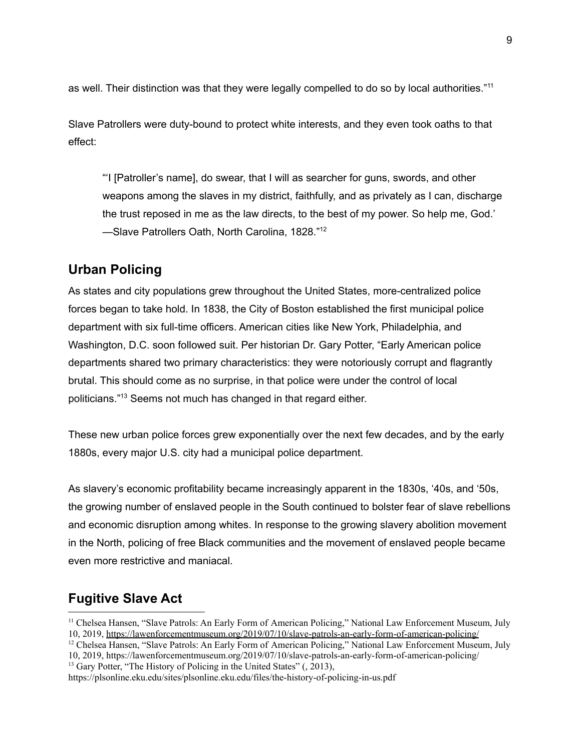as well. Their distinction was that they were legally compelled to do so by local authorities."<sup>11</sup>

Slave Patrollers were duty-bound to protect white interests, and they even took oaths to that effect:

"'I [Patroller's name], do swear, that I will as searcher for guns, swords, and other weapons among the slaves in my district, faithfully, and as privately as I can, discharge the trust reposed in me as the law directs, to the best of my power. So help me, God.' -Slave Patrollers Oath, North Carolina, 1828."<sup>12</sup>

## **Urban Policing**

As states and city populations grew throughout the United States, more-centralized police forces began to take hold. In 1838, the City of Boston established the first municipal police department with six full-time officers. American cities like New York, Philadelphia, and Washington, D.C. soon followed suit. Per historian Dr. Gary Potter, "Early American police departments shared two primary characteristics: they were notoriously corrupt and flagrantly brutal. This should come as no surprise, in that police were under the control of local politicians." <sup>13</sup> Seems not much has changed in that regard either.

These new urban police forces grew exponentially over the next few decades, and by the early 1880s, every major U.S. city had a municipal police department.

As slavery's economic profitability became increasingly apparent in the 1830s, '40s, and '50s, the growing number of enslaved people in the South continued to bolster fear of slave rebellions and economic disruption among whites. In response to the growing slavery abolition movement in the North, policing of free Black communities and the movement of enslaved people became even more restrictive and maniacal.

## **Fugitive Slave Act**

- <sup>11</sup> Chelsea Hansen, "Slave Patrols: An Early Form of American Policing," National Law Enforcement Museum, July 10, 2019, <https://lawenforcementmuseum.org/2019/07/10/slave-patrols-an-early-form-of-american-policing/>
- <sup>13</sup> Gary Potter, "The History of Policing in the United States" (, 2013), <sup>12</sup> Chelsea Hansen, "Slave Patrols: An Early Form of American Policing," National Law Enforcement Museum, July 10, 2019, <https://lawenforcementmuseum.org/2019/07/10/slave-patrols-an-early-form-of-american-policing/>

<https://plsonline.eku.edu/sites/plsonline.eku.edu/files/the-history-of-policing-in-us.pdf>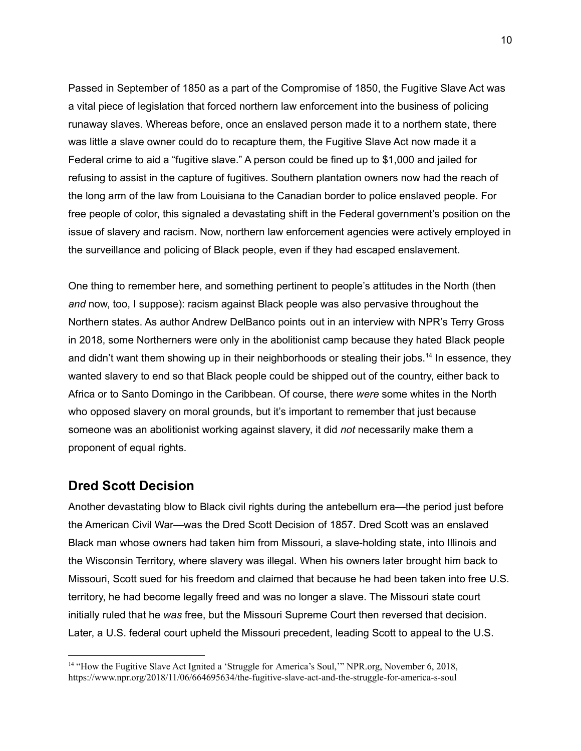Passed in September of 1850 as a part of the Compromise of 1850, the Fugitive Slave Act was a vital piece of legislation that forced northern law enforcement into the business of policing runaway slaves. Whereas before, once an enslaved person made it to a northern state, there was little a slave owner could do to recapture them, the Fugitive Slave Act now made it a Federal crime to aid a "fugitive slave." A person could be fined up to \$1,000 and jailed for refusing to assist in the capture of fugitives. Southern plantation owners now had the reach of the long arm of the law from Louisiana to the Canadian border to police enslaved people. For free people of color, this signaled a devastating shift in the Federal government's position on the issue of slavery and racism. Now, northern law enforcement agencies were actively employed in the surveillance and policing of Black people, even if they had escaped enslavement.

One thing to remember here, and something pertinent to people's attitudes in the North (then *and* now, too, I suppose): racism against Black people was also pervasive throughout the Northern states. As author Andrew DelBanco points out in an interview with NPR's Terry Gross in 2018, some Northerners were only in the abolitionist camp because they hated Black people and didn't want them showing up in their neighborhoods or stealing their jobs. 14 In essence, they wanted slavery to end so that Black people could be shipped out of the country, either back to Africa or to Santo Domingo in the Caribbean. Of course, there *were* some whites in the North who opposed slavery on moral grounds, but it's important to remember that just because someone was an abolitionist working against slavery, it did *not* necessarily make them a proponent of equal rights.

#### **Dred Scott Decision**

Another devastating blow to Black civil rights during the antebellum era—the period just before the American Civil War—was the Dred Scott Decision of 1857. Dred Scott was an enslaved Black man whose owners had taken him from Missouri, a slave-holding state, into Illinois and the Wisconsin Territory, where slavery was illegal. When his owners later brought him back to Missouri, Scott sued for his freedom and claimed that because he had been taken into free U.S. territory, he had become legally freed and was no longer a slave. The Missouri state court initially ruled that he *was* free, but the Missouri Supreme Court then reversed that decision. Later, a U.S. federal court upheld the Missouri precedent, leading Scott to appeal to the U.S.

<sup>&</sup>lt;sup>14</sup> "How the Fugitive Slave Act Ignited a 'Struggle for America's Soul," NPR.org, November 6, 2018, <https://www.npr.org/2018/11/06/664695634/the-fugitive-slave-act-and-the-struggle-for-america-s-soul>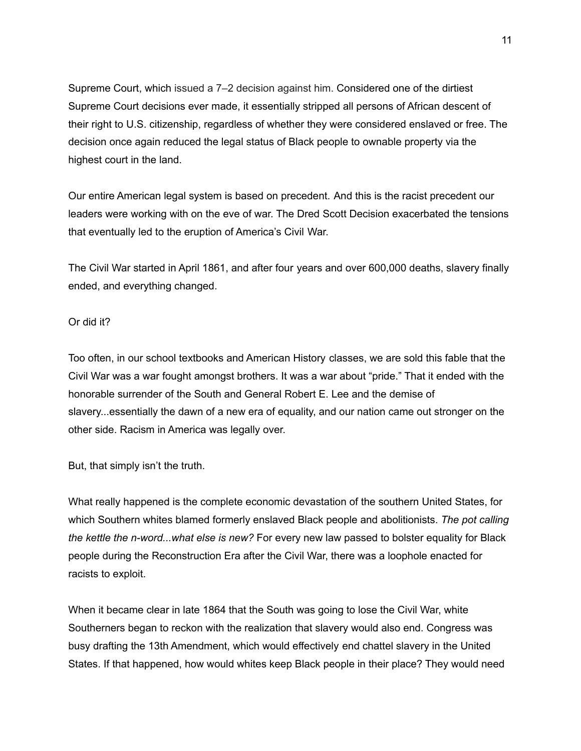Supreme Court, which issued a 7–2 decision against him. Considered one of the dirtiest Supreme Court decisions ever made, it essentially stripped all persons of African descent of their right to U.S. citizenship, regardless of whether they were considered enslaved or free. The decision once again reduced the legal status of Black people to ownable property via the highest court in the land.

Our entire American legal system is based on precedent. And this is the racist precedent our leaders were working with on the eve of war. The Dred Scott Decision exacerbated the tensions that eventually led to the eruption of America's Civil War.

The Civil War started in April 1861, and after four years and over 600,000 deaths, slavery finally ended, and everything changed.

#### Or did it?

Too often, in our school textbooks and American History classes, we are sold this fable that the Civil War was a war fought amongst brothers. It was a war about "pride." That it ended with the honorable surrender of the South and General Robert E. Lee and the demise of slavery...essentially the dawn of a new era of equality, and our nation came out stronger on the other side. Racism in America was legally over.

But, that simply isn't the truth.

What really happened is the complete economic devastation of the southern United States, for which Southern whites blamed formerly enslaved Black people and abolitionists. *The pot calling the kettle the n-word...what else is new?* For every new law passed to bolster equality for Black people during the Reconstruction Era after the Civil War, there was a loophole enacted for racists to exploit.

When it became clear in late 1864 that the South was going to lose the Civil War, white Southerners began to reckon with the realization that slavery would also end. Congress was busy drafting the 13th Amendment, which would effectively end chattel slavery in the United States. If that happened, how would whites keep Black people in their place? They would need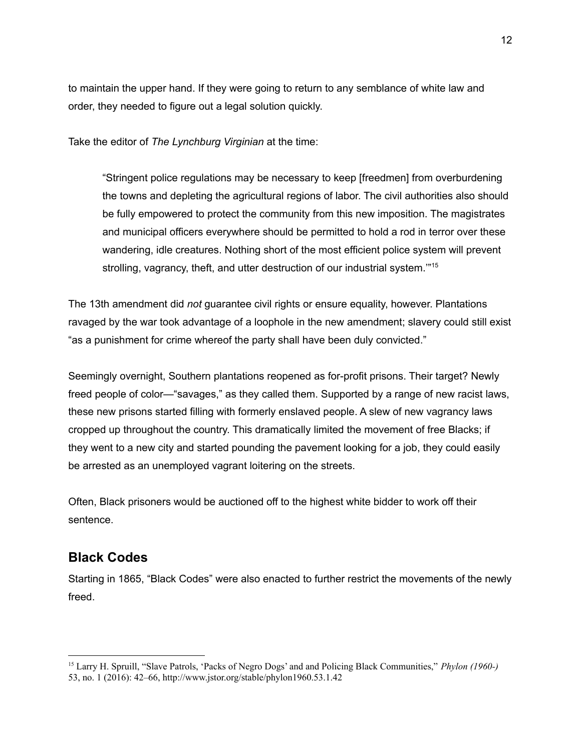to maintain the upper hand. If they were going to return to any semblance of white law and order, they needed to figure out a legal solution quickly.

Take the editor of *The Lynchburg Virginian* at the time:

"Stringent police regulations may be necessary to keep [freedmen] from overburdening the towns and depleting the agricultural regions of labor. The civil authorities also should be fully empowered to protect the community from this new imposition. The magistrates and municipal officers everywhere should be permitted to hold a rod in terror over these wandering, idle creatures. Nothing short of the most efficient police system will prevent strolling, vagrancy, theft, and utter destruction of our industrial system."<sup>15</sup>

The 13th amendment did *not* guarantee civil rights or ensure equality, however. Plantations ravaged by the war took advantage of a loophole in the new amendment; slavery could still exist "as a punishment for crime whereof the party shall have been duly convicted."

Seemingly overnight, Southern plantations reopened as for-profit prisons. Their target? Newly freed people of color—"savages," as they called them. Supported by a range of new racist laws, these new prisons started filling with formerly enslaved people. A slew of new vagrancy laws cropped up throughout the country. This dramatically limited the movement of free Blacks; if they went to a new city and started pounding the pavement looking for a job, they could easily be arrested as an unemployed vagrant loitering on the streets.

Often, Black prisoners would be auctioned off to the highest white bidder to work off their sentence.

## **Black Codes**

Starting in 1865, "Black Codes" were also enacted to further restrict the movements of the newly freed.

<sup>15</sup> Larry H. Spruill, "Slave Patrols, 'Packs of Negro Dogs' and and Policing Black Communities," *Phylon (1960-)* 53, no. 1 (2016): 42–66, <http://www.jstor.org/stable/phylon1960.53.1.42>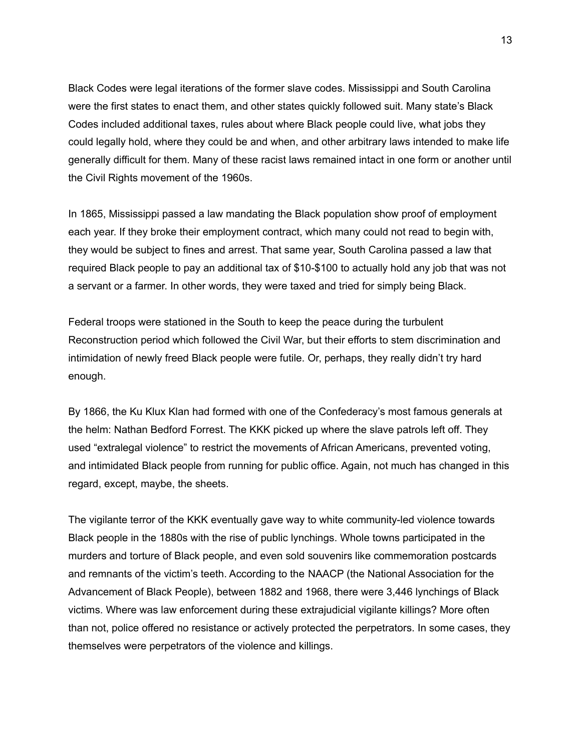Black Codes were legal iterations of the former slave codes. Mississippi and South Carolina were the first states to enact them, and other states quickly followed suit. Many state's Black Codes included additional taxes, rules about where Black people could live, what jobs they could legally hold, where they could be and when, and other arbitrary laws intended to make life generally difficult for them. Many of these racist laws remained intact in one form or another until the Civil Rights movement of the 1960s.

In 1865, Mississippi passed a law mandating the Black population show proof of employment each year. If they broke their employment contract, which many could not read to begin with, they would be subject to fines and arrest. That same year, South Carolina passed a law that required Black people to pay an additional tax of \$10-\$100 to actually hold any job that was not a servant or a farmer. In other words, they were taxed and tried for simply being Black.

Federal troops were stationed in the South to keep the peace during the turbulent Reconstruction period which followed the Civil War, but their efforts to stem discrimination and intimidation of newly freed Black people were futile. Or, perhaps, they really didn't try hard enough.

By 1866, the Ku Klux Klan had formed with one of the Confederacy's most famous generals at the helm: Nathan Bedford Forrest. The KKK picked up where the slave patrols left off. They used "extralegal violence" to restrict the movements of African Americans, prevented voting, and intimidated Black people from running for public office. Again, not much has changed in this regard, except, maybe, the sheets.

The vigilante terror of the KKK eventually gave way to white community-led violence towards Black people in the 1880s with the rise of public lynchings. Whole towns participated in the murders and torture of Black people, and even sold souvenirs like commemoration postcards and remnants of the victim's teeth. According to the NAACP (the National Association for the Advancement of Black People), between 1882 and 1968, there were 3,446 lynchings of Black victims. Where was law enforcement during these extrajudicial vigilante killings? More often than not, police offered no resistance or actively protected the perpetrators. In some cases, they themselves were perpetrators of the violence and killings.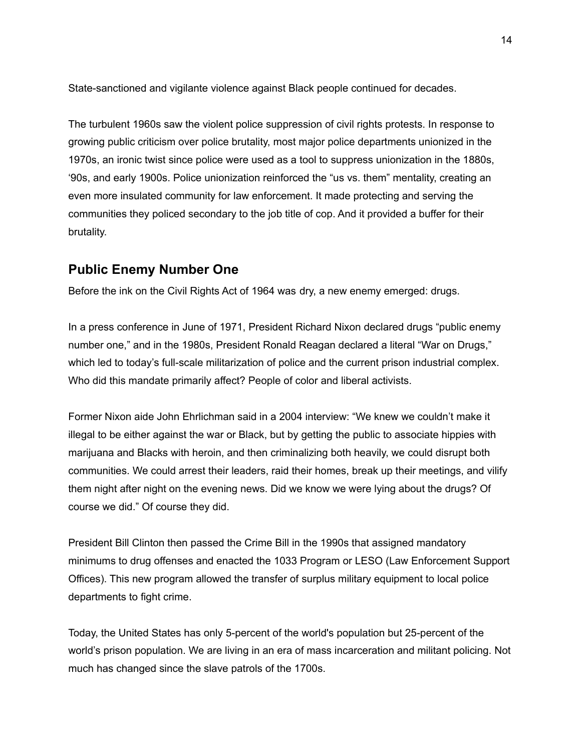State-sanctioned and vigilante violence against Black people continued for decades.

The turbulent 1960s saw the violent police suppression of civil rights protests. In response to growing public criticism over police brutality, most major police departments unionized in the 1970s, an ironic twist since police were used as a tool to suppress unionization in the 1880s, '90s, and early 1900s. Police unionization reinforced the "us vs. them" mentality, creating an even more insulated community for law enforcement. It made protecting and serving the communities they policed secondary to the job title of cop. And it provided a buffer for their brutality.

## **Public Enemy Number One**

Before the ink on the Civil Rights Act of 1964 was dry, a new enemy emerged: drugs.

In a press conference in June of 1971, President Richard Nixon declared drugs "public enemy number one," and in the 1980s, President Ronald Reagan declared a literal "War on Drugs," which led to today's full-scale militarization of police and the current prison industrial complex. Who did this mandate primarily affect? People of color and liberal activists.

Former Nixon aide John Ehrlichman said in a 2004 interview: "We knew we couldn't make it illegal to be either against the war or Black, but by getting the public to associate hippies with marijuana and Blacks with heroin, and then criminalizing both heavily, we could disrupt both communities. We could arrest their leaders, raid their homes, break up their meetings, and vilify them night after night on the evening news. Did we know we were lying about the drugs? Of course we did." Of course they did.

President Bill Clinton then passed the Crime Bill in the 1990s that assigned mandatory minimums to drug offenses and enacted the 1033 Program or LESO (Law Enforcement Support Offices). This new program allowed the transfer of surplus military equipment to local police departments to fight crime.

Today, the United States has only 5-percent of the world's population but 25-percent of the world's prison population. We are living in an era of mass incarceration and militant policing. Not much has changed since the slave patrols of the 1700s.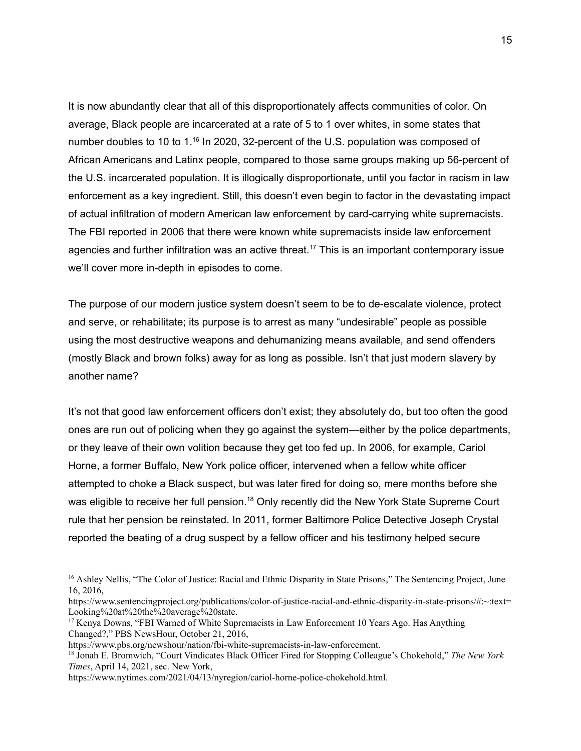It is now abundantly clear that all of this disproportionately affects communities of color. On average, Black people are incarcerated at a rate of 5 to 1 over whites, in some states that number doubles to 10 to 1.<sup>16</sup> In 2020, 32-percent of the U.S. population was composed of African Americans and Latinx people, compared to those same groups making up 56-percent of the U.S. incarcerated population. It is illogically disproportionate, until you factor in racism in law enforcement as a key ingredient. Still, this doesn't even begin to factor in the devastating impact of actual infiltration of modern American law enforcement by card-carrying white supremacists. The FBI reported in 2006 that there were known white supremacists inside law enforcement agencies and further infiltration was an active threat.<sup>17</sup> This is an important contemporary issue we'll cover more in-depth in episodes to come.

The purpose of our modern justice system doesn't seem to be to de-escalate violence, protect and serve, or rehabilitate; its purpose is to arrest as many "undesirable" people as possible using the most destructive weapons and dehumanizing means available, and send offenders (mostly Black and brown folks) away for as long as possible. Isn't that just modern slavery by another name?

It's not that good law enforcement officers don't exist; they absolutely do, but too often the good ones are run out of policing when they go against the system—either by the police departments, or they leave of their own volition because they get too fed up. In 2006, for example, Cariol Horne, a former Buffalo, New York police officer, intervened when a fellow white officer attempted to choke a Black suspect, but was later fired for doing so, mere months before she was eligible to receive her full pension.<sup>18</sup> Only recently did the New York State Supreme Court rule that her pension be reinstated. In 2011, former Baltimore Police Detective Joseph Crystal reported the beating of a drug suspect by a fellow officer and his testimony helped secure

<sup>&</sup>lt;sup>16</sup> Ashley Nellis, "The Color of Justice: Racial and Ethnic Disparity in State Prisons," The Sentencing Project, June 16, 2016,

[https://www.sentencingproject.org/publications/color-of-justice-racial-and-ethnic-disparity-in-state-prisons/#:~:text=](https://www.sentencingproject.org/publications/color-of-justice-racial-and-ethnic-disparity-in-state-prisons/#:~:text=Looking%20at%20the%20average%20state) [Looking%20at%20the%20average%20state.](https://www.sentencingproject.org/publications/color-of-justice-racial-and-ethnic-disparity-in-state-prisons/#:~:text=Looking%20at%20the%20average%20state)

<sup>&</sup>lt;sup>17</sup> Kenya Downs, "FBI Warned of White Supremacists in Law Enforcement 10 Years Ago. Has Anything Changed?," PBS NewsHour, October 21, 2016,

[https://www.pbs.org/newshour/nation/fbi-white-supremacists-in-law-enforcement.](https://www.pbs.org/newshour/nation/fbi-white-supremacists-in-law-enforcement)

<sup>18</sup> Jonah E. Bromwich, "Court Vindicates Black Officer Fired for Stopping Colleague's Chokehold," *The New York Times*, April 14, 2021, sec. New York,

<https://www.nytimes.com/2021/04/13/nyregion/cariol-horne-police-chokehold.html>.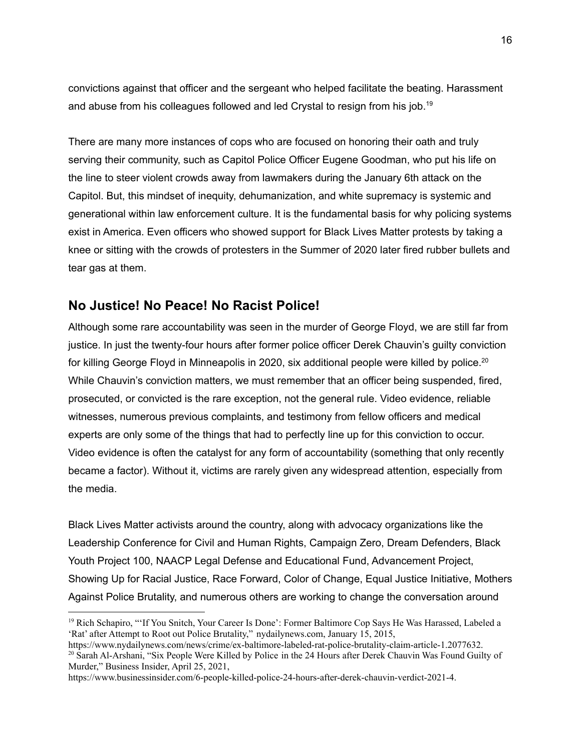convictions against that officer and the sergeant who helped facilitate the beating. Harassment and abuse from his colleagues followed and led Crystal to resign from his job.<sup>19</sup>

There are many more instances of cops who are focused on honoring their oath and truly serving their community, such as Capitol Police Officer Eugene Goodman, who put his life on the line to steer violent crowds away from lawmakers during the January 6th attack on the Capitol. But, this mindset of inequity, dehumanization, and white supremacy is systemic and generational within law enforcement culture. It is the fundamental basis for why policing systems exist in America. Even officers who showed support for Black Lives Matter protests by taking a knee or sitting with the crowds of protesters in the Summer of 2020 later fired rubber bullets and tear gas at them.

#### **No Justice! No Peace! No Racist Police!**

Although some rare accountability was seen in the murder of George Floyd, we are still far from justice. In just the twenty-four hours after former police officer Derek Chauvin's guilty conviction for killing George Floyd in Minneapolis in 2020, six additional people were killed by police.<sup>20</sup> While Chauvin's conviction matters, we must remember that an officer being suspended, fired, prosecuted, or convicted is the rare exception, not the general rule. Video evidence, reliable witnesses, numerous previous complaints, and testimony from fellow officers and medical experts are only some of the things that had to perfectly line up for this conviction to occur. Video evidence is often the catalyst for any form of accountability (something that only recently became a factor). Without it, victims are rarely given any widespread attention, especially from the media.

Black Lives Matter activists around the country, along with advocacy organizations like the Leadership Conference for Civil and Human Rights, Campaign Zero, Dream Defenders, Black Youth Project 100, NAACP Legal Defense and Educational Fund, Advancement Project, Showing Up for Racial Justice, Race Forward, Color of Change, Equal Justice Initiative, Mothers Against Police Brutality, and numerous others are working to change the conversation around

<sup>&</sup>lt;sup>19</sup> Rich Schapiro, "'If You Snitch, Your Career Is Done': Former Baltimore Cop Says He Was Harassed, Labeled a 'Rat' after Attempt to Root out Police Brutality," nydailynews.com, January 15, 2015,

<sup>&</sup>lt;sup>20</sup> Sarah Al-Arshani, "Six People Were Killed by Police in the 24 Hours after Derek Chauvin Was Found Guilty of Murder," Business Insider, April 25, 2021, [https://www.nydailynews.com/news/crime/ex-baltimore-labeled-rat-police-brutality-claim-article-1.2077632.](https://www.nydailynews.com/news/crime/ex-baltimore-labeled-rat-police-brutality-claim-article-1.2077632)

[https://www.businessinsider.com/6-people-killed-police-24-hours-after-derek-chauvin-verdict-2021-4.](https://www.businessinsider.com/6-people-killed-police-24-hours-after-derek-chauvin-verdict-2021-4)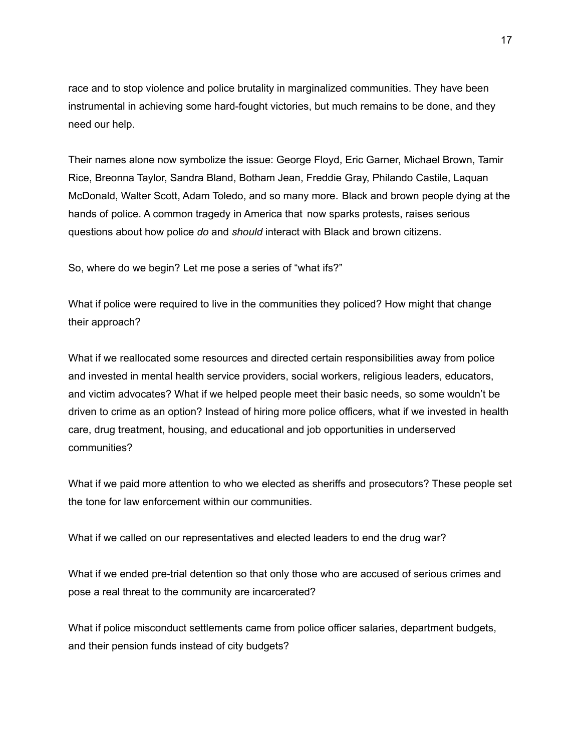race and to stop violence and police brutality in marginalized communities. They have been instrumental in achieving some hard-fought victories, but much remains to be done, and they need our help.

Their names alone now symbolize the issue: George Floyd, Eric Garner, Michael Brown, Tamir Rice, Breonna Taylor, Sandra Bland, Botham Jean, Freddie Gray, Philando Castile, Laquan McDonald, Walter Scott, Adam Toledo, and so many more. Black and brown people dying at the hands of police. A common tragedy in America that now sparks protests, raises serious questions about how police *do* and *should* interact with Black and brown citizens.

So, where do we begin? Let me pose a series of "what ifs?"

What if police were required to live in the communities they policed? How might that change their approach?

What if we reallocated some resources and directed certain responsibilities away from police and invested in mental health service providers, social workers, religious leaders, educators, and victim advocates? What if we helped people meet their basic needs, so some wouldn't be driven to crime as an option? Instead of hiring more police officers, what if we invested in health care, drug treatment, housing, and educational and job opportunities in underserved communities?

What if we paid more attention to who we elected as sheriffs and prosecutors? These people set the tone for law enforcement within our communities.

What if we called on our representatives and elected leaders to end the drug war?

What if we ended pre-trial detention so that only those who are accused of serious crimes and pose a real threat to the community are incarcerated?

What if police misconduct settlements came from police officer salaries, department budgets, and their pension funds instead of city budgets?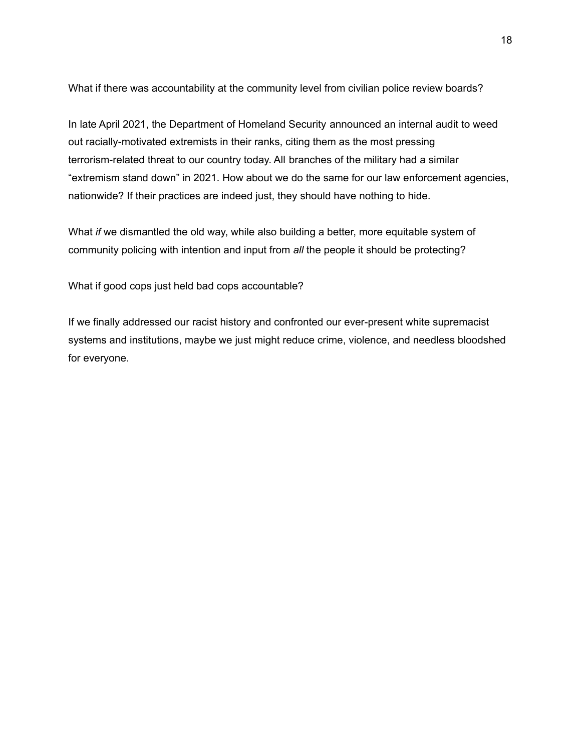What if there was accountability at the community level from civilian police review boards?

In late April 2021, the Department of Homeland Security announced an internal audit to weed out racially-motivated extremists in their ranks, citing them as the most pressing terrorism-related threat to our country today. All branches of the military had a similar "extremism stand down" in 2021. How about we do the same for our law enforcement agencies, nationwide? If their practices are indeed just, they should have nothing to hide.

What *if* we dismantled the old way, while also building a better, more equitable system of community policing with intention and input from *all* the people it should be protecting?

What if good cops just held bad cops accountable?

If we finally addressed our racist history and confronted our ever-present white supremacist systems and institutions, maybe we just might reduce crime, violence, and needless bloodshed for everyone.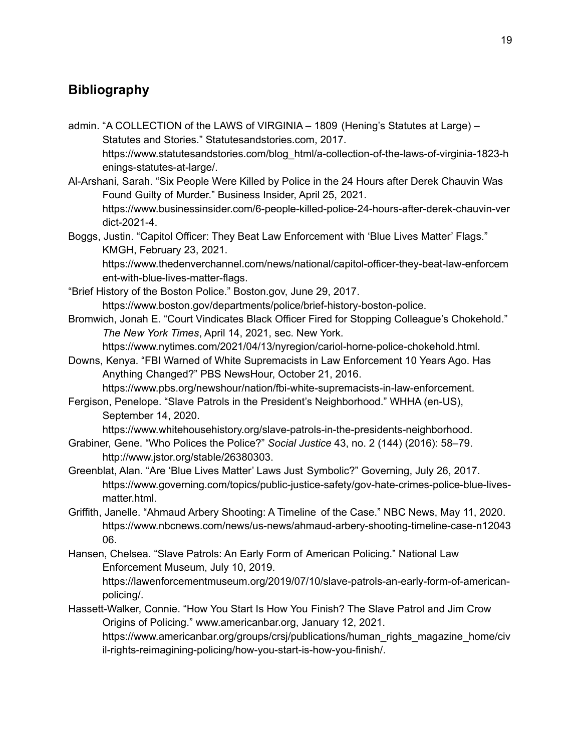# **Bibliography**

- admin. "A COLLECTION of the LAWS of VIRGINIA 1809 (Hening's Statutes at Large) Statutes and Stories." Statutesandstories.com, 2017. https://www.statutesandstories.com/blog\_html/a-collection-of-the-laws-of-virginia-1823-h enings-statutes-at-large/.
- Al-Arshani, Sarah. "Six People Were Killed by Police in the 24 Hours after Derek Chauvin Was Found Guilty of Murder." Business Insider, April 25, 2021. https://www.businessinsider.com/6-people-killed-police-24-hours-after-derek-chauvin-ver dict-2021-4.
- Boggs, Justin. "Capitol Officer: They Beat Law Enforcement with 'Blue Lives Matter' Flags." KMGH, February 23, 2021.

https://www.thedenverchannel.com/news/national/capitol-officer-they-beat-law-enforcem ent-with-blue-lives-matter-flags.

- "Brief History of the Boston Police." Boston.gov, June 29, 2017. https://www.boston.gov/departments/police/brief-history-boston-police.
- Bromwich, Jonah E. "Court Vindicates Black Officer Fired for Stopping Colleague's Chokehold." *The New York Times*, April 14, 2021, sec. New York.

https://www.nytimes.com/2021/04/13/nyregion/cariol-horne-police-chokehold.html.

Downs, Kenya. "FBI Warned of White Supremacists in Law Enforcement 10 Years Ago. Has Anything Changed?" PBS NewsHour, October 21, 2016.

https://www.pbs.org/newshour/nation/fbi-white-supremacists-in-law-enforcement. Fergison, Penelope. "Slave Patrols in the President's Neighborhood." WHHA (en-US),

September 14, 2020.

https://www.whitehousehistory.org/slave-patrols-in-the-presidents-neighborhood.

- Grabiner, Gene. "Who Polices the Police?" *Social Justice* 43, no. 2 (144) (2016): 58–79. http://www.jstor.org/stable/26380303.
- Greenblat, Alan. "Are 'Blue Lives Matter' Laws Just Symbolic?" Governing, July 26, 2017. https://www.governing.com/topics/public-justice-safety/gov-hate-crimes-police-blue-livesmatter.html.
- Griffith, Janelle. "Ahmaud Arbery Shooting: A Timeline of the Case." NBC News, May 11, 2020. https://www.nbcnews.com/news/us-news/ahmaud-arbery-shooting-timeline-case-n12043 06.
- Hansen, Chelsea. "Slave Patrols: An Early Form of American Policing." National Law Enforcement Museum, July 10, 2019. https://lawenforcementmuseum.org/2019/07/10/slave-patrols-an-early-form-of-americanpolicing/.
- Hassett-Walker, Connie. "How You Start Is How You Finish? The Slave Patrol and Jim Crow Origins of Policing." www.americanbar.org, January 12, 2021. https://www.americanbar.org/groups/crsj/publications/human\_rights\_magazine\_home/civ il-rights-reimagining-policing/how-you-start-is-how-you-finish/.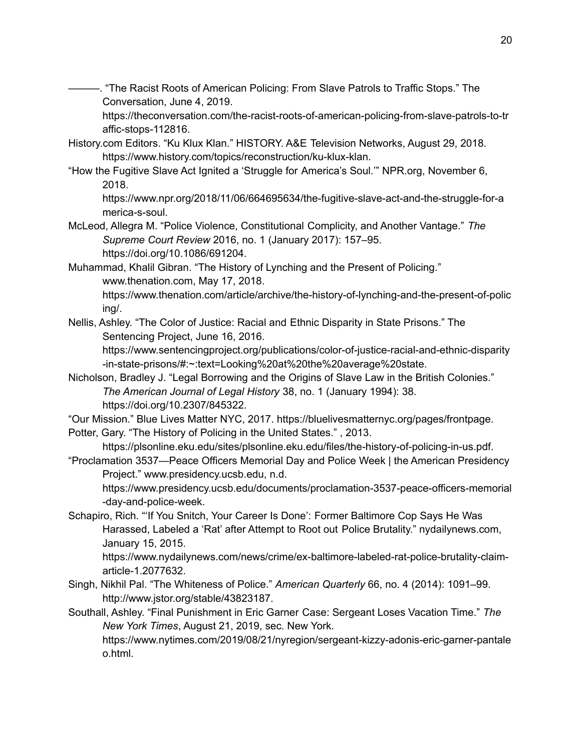-. "The Racist Roots of American Policing: From Slave Patrols to Traffic Stops." The Conversation, June 4, 2019.

https://theconversation.com/the-racist-roots-of-american-policing-from-slave-patrols-to-tr affic-stops-112816.

- History.com Editors. "Ku Klux Klan." HISTORY. A&E Television Networks, August 29, 2018. https://www.history.com/topics/reconstruction/ku-klux-klan.
- "How the Fugitive Slave Act Ignited a 'Struggle for America's Soul.'" NPR.org, November 6, 2018.

https://www.npr.org/2018/11/06/664695634/the-fugitive-slave-act-and-the-struggle-for-a merica-s-soul.

- McLeod, Allegra M. "Police Violence, Constitutional Complicity, and Another Vantage." *The Supreme Court Review* 2016, no. 1 (January 2017): 157–95. https://doi.org/10.1086/691204.
- Muhammad, Khalil Gibran. "The History of Lynching and the Present of Policing." www.thenation.com, May 17, 2018.

https://www.thenation.com/article/archive/the-history-of-lynching-and-the-present-of-polic ing/.

Nellis, Ashley. "The Color of Justice: Racial and Ethnic Disparity in State Prisons." The Sentencing Project, June 16, 2016.

https://www.sentencingproject.org/publications/color-of-justice-racial-and-ethnic-disparity -in-state-prisons/#:~:text=Looking%20at%20the%20average%20state.

- Nicholson, Bradley J. "Legal Borrowing and the Origins of Slave Law in the British Colonies." *The American Journal of Legal History* 38, no. 1 (January 1994): 38. https://doi.org/10.2307/845322.
- "Our Mission." Blue Lives Matter NYC, 2017. https://bluelivesmatternyc.org/pages/frontpage.

Potter, Gary. "The History of Policing in the United States." , 2013.

https://plsonline.eku.edu/sites/plsonline.eku.edu/files/the-history-of-policing-in-us.pdf.

"Proclamation 3537—Peace Officers Memorial Day and Police Week | the American Presidency Project." www.presidency.ucsb.edu, n.d.

https://www.presidency.ucsb.edu/documents/proclamation-3537-peace-officers-memorial -day-and-police-week.

Schapiro, Rich. "'If You Snitch, Your Career Is Done': Former Baltimore Cop Says He Was Harassed, Labeled a 'Rat' after Attempt to Root out Police Brutality." nydailynews.com, January 15, 2015.

https://www.nydailynews.com/news/crime/ex-baltimore-labeled-rat-police-brutality-claimarticle-1.2077632.

Singh, Nikhil Pal. "The Whiteness of Police." *American Quarterly* 66, no. 4 (2014): 1091–99. http://www.jstor.org/stable/43823187.

Southall, Ashley. "Final Punishment in Eric Garner Case: Sergeant Loses Vacation Time." *The New York Times*, August 21, 2019, sec. New York.

https://www.nytimes.com/2019/08/21/nyregion/sergeant-kizzy-adonis-eric-garner-pantale o.html.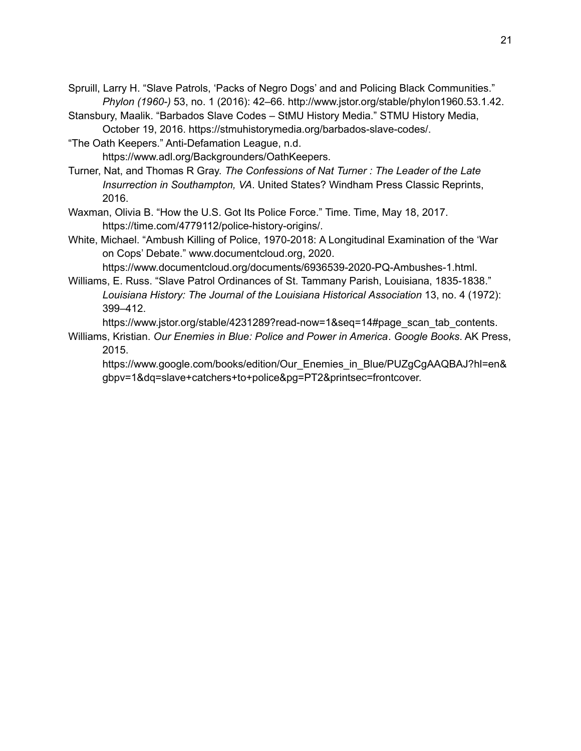- Spruill, Larry H. "Slave Patrols, 'Packs of Negro Dogs' and and Policing Black Communities." *Phylon (1960-)* 53, no. 1 (2016): 42–66. http://www.jstor.org/stable/phylon1960.53.1.42.
- Stansbury, Maalik. "Barbados Slave Codes StMU History Media." STMU History Media, October 19, 2016. https://stmuhistorymedia.org/barbados-slave-codes/.
- "The Oath Keepers." Anti-Defamation League, n.d. https://www.adl.org/Backgrounders/OathKeepers.
- Turner, Nat, and Thomas R Gray. *The Confessions of Nat Turner : The Leader of the Late Insurrection in Southampton, VA*. United States? Windham Press Classic Reprints, 2016.
- Waxman, Olivia B. "How the U.S. Got Its Police Force." Time. Time, May 18, 2017. https://time.com/4779112/police-history-origins/.
- White, Michael. "Ambush Killing of Police, 1970-2018: A Longitudinal Examination of the 'War on Cops' Debate." www.documentcloud.org, 2020.

https://www.documentcloud.org/documents/6936539-2020-PQ-Ambushes-1.html.

Williams, E. Russ. "Slave Patrol Ordinances of St. Tammany Parish, Louisiana, 1835-1838." *Louisiana History: The Journal of the Louisiana Historical Association* 13, no. 4 (1972): 399–412.

https://www.jstor.org/stable/4231289?read-now=1&seq=14#page\_scan\_tab\_contents.

Williams, Kristian. *Our Enemies in Blue: Police and Power in America*. *Google Books*. AK Press, 2015.

https://www.google.com/books/edition/Our\_Enemies\_in\_Blue/PUZgCgAAQBAJ?hl=en& gbpv=1&dq=slave+catchers+to+police&pg=PT2&printsec=frontcover.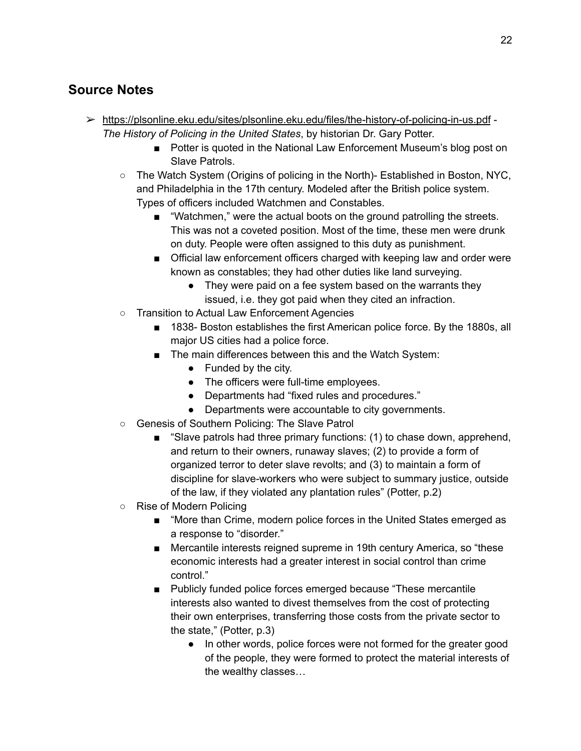## **Source Notes**

- ➢ <https://plsonline.eku.edu/sites/plsonline.eku.edu/files/the-history-of-policing-in-us.pdf> *The History of Policing in the United States*, by historian Dr. Gary Potter.
	- Potter is quoted in the National Law Enforcement Museum's blog post on Slave Patrols.
	- The Watch System (Origins of policing in the North)- Established in Boston, NYC, and Philadelphia in the 17th century. Modeled after the British police system. Types of officers included Watchmen and Constables.
		- "Watchmen," were the actual boots on the ground patrolling the streets. This was not a coveted position. Most of the time, these men were drunk on duty. People were often assigned to this duty as punishment.
		- Official law enforcement officers charged with keeping law and order were known as constables; they had other duties like land surveying.
			- They were paid on a fee system based on the warrants they issued, i.e. they got paid when they cited an infraction.
	- Transition to Actual Law Enforcement Agencies
		- 1838- Boston establishes the first American police force. By the 1880s, all major US cities had a police force.
		- The main differences between this and the Watch System:
			- Funded by the city.
			- The officers were full-time employees.
			- Departments had "fixed rules and procedures."
			- Departments were accountable to city governments.
	- Genesis of Southern Policing: The Slave Patrol
		- "Slave patrols had three primary functions: (1) to chase down, apprehend, and return to their owners, runaway slaves; (2) to provide a form of organized terror to deter slave revolts; and (3) to maintain a form of discipline for slave-workers who were subject to summary justice, outside of the law, if they violated any plantation rules" (Potter, p.2)
	- Rise of Modern Policing
		- "More than Crime, modern police forces in the United States emerged as a response to "disorder."
		- Mercantile interests reigned supreme in 19th century America, so "these economic interests had a greater interest in social control than crime control."
		- Publicly funded police forces emerged because "These mercantile" interests also wanted to divest themselves from the cost of protecting their own enterprises, transferring those costs from the private sector to the state," (Potter, p.3)
			- In other words, police forces were not formed for the greater good of the people, they were formed to protect the material interests of the wealthy classes…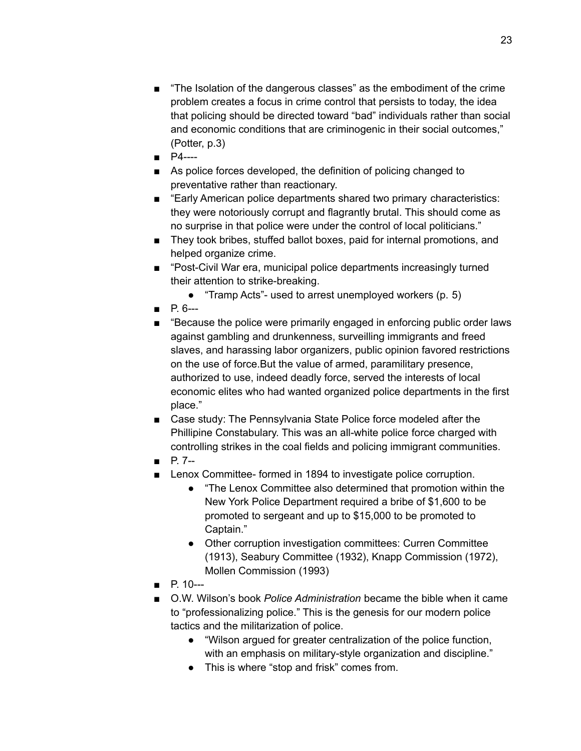- "The Isolation of the dangerous classes" as the embodiment of the crime problem creates a focus in crime control that persists to today, the idea that policing should be directed toward "bad" individuals rather than social and economic conditions that are criminogenic in their social outcomes," (Potter, p.3)
- P4----
- As police forces developed, the definition of policing changed to preventative rather than reactionary.
- "Early American police departments shared two primary characteristics: they were notoriously corrupt and flagrantly brutal. This should come as no surprise in that police were under the control of local politicians."
- They took bribes, stuffed ballot boxes, paid for internal promotions, and helped organize crime.
- "Post-Civil War era, municipal police departments increasingly turned their attention to strike-breaking.
	- "Tramp Acts"- used to arrest unemployed workers (p. 5)
- $P_{B} P_{B} P_{B}$
- "Because the police were primarily engaged in enforcing public order laws against gambling and drunkenness, surveilling immigrants and freed slaves, and harassing labor organizers, public opinion favored restrictions on the use of force.But the value of armed, paramilitary presence, authorized to use, indeed deadly force, served the interests of local economic elites who had wanted organized police departments in the first place."
- Case study: The Pennsylvania State Police force modeled after the Phillipine Constabulary. This was an all-white police force charged with controlling strikes in the coal fields and policing immigrant communities.
- P. 7--
- Lenox Committee- formed in 1894 to investigate police corruption.
	- "The Lenox Committee also determined that promotion within the New York Police Department required a bribe of \$1,600 to be promoted to sergeant and up to \$15,000 to be promoted to Captain."
	- Other corruption investigation committees: Curren Committee (1913), Seabury Committee (1932), Knapp Commission (1972), Mollen Commission (1993)
- P. 10---
- O.W. Wilson's book *Police Administration* became the bible when it came to "professionalizing police." This is the genesis for our modern police tactics and the militarization of police.
	- "Wilson argued for greater centralization of the police function, with an emphasis on military-style organization and discipline."
	- This is where "stop and frisk" comes from.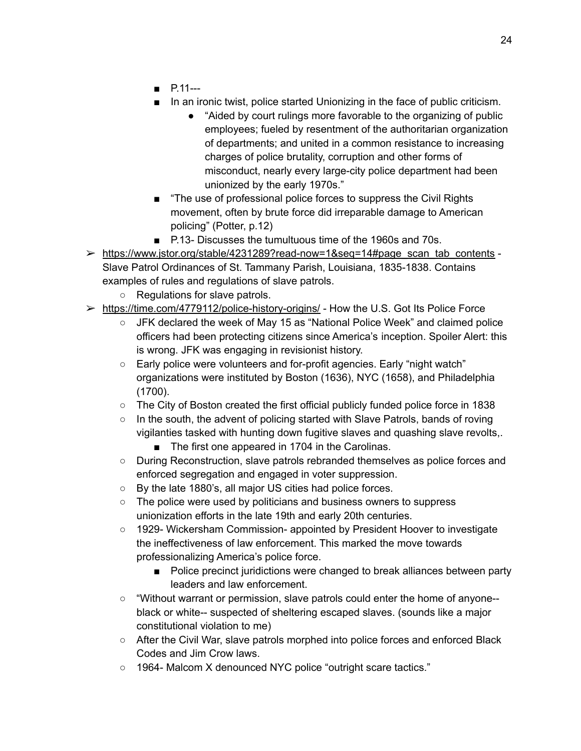- P.11---
- In an ironic twist, police started Unionizing in the face of public criticism.
	- "Aided by court rulings more favorable to the organizing of public employees; fueled by resentment of the authoritarian organization of departments; and united in a common resistance to increasing charges of police brutality, corruption and other forms of misconduct, nearly every large-city police department had been unionized by the early 1970s."
- "The use of professional police forces to suppress the Civil Rights movement, often by brute force did irreparable damage to American policing" (Potter, p.12)
- P.13- Discusses the tumultuous time of the 1960s and 70s.
- ➢ [https://www.jstor.org/stable/4231289?read-now=1&seq=14#page\\_scan\\_tab\\_contents](https://www.jstor.org/stable/4231289?read-now=1&seq=14#page_scan_tab_contents) Slave Patrol Ordinances of St. Tammany Parish, Louisiana, 1835-1838. Contains examples of rules and regulations of slave patrols.
	- Regulations for slave patrols.
- $\triangleright$  <https://time.com/4779112/police-history-origins/> How the U.S. Got Its Police Force
	- JFK declared the week of May 15 as "National Police Week" and claimed police officers had been protecting citizens since America's inception. Spoiler Alert: this is wrong. JFK was engaging in revisionist history.
	- Early police were volunteers and for-profit agencies. Early "night watch" organizations were instituted by Boston (1636), NYC (1658), and Philadelphia (1700).
	- The City of Boston created the first official publicly funded police force in 1838
	- In the south, the advent of policing started with Slave Patrols, bands of roving vigilanties tasked with hunting down fugitive slaves and quashing slave revolts,.
		- The first one appeared in 1704 in the Carolinas.
	- During Reconstruction, slave patrols rebranded themselves as police forces and enforced segregation and engaged in voter suppression.
	- By the late 1880's, all major US cities had police forces.
	- The police were used by politicians and business owners to suppress unionization efforts in the late 19th and early 20th centuries.
	- 1929- Wickersham Commission- appointed by President Hoover to investigate the ineffectiveness of law enforcement. This marked the move towards professionalizing America's police force.
		- Police precinct juridictions were changed to break alliances between party leaders and law enforcement.
	- "Without warrant or permission, slave patrols could enter the home of anyone- black or white-- suspected of sheltering escaped slaves. (sounds like a major constitutional violation to me)
	- After the Civil War, slave patrols morphed into police forces and enforced Black Codes and Jim Crow laws.
	- 1964- Malcom X denounced NYC police "outright scare tactics."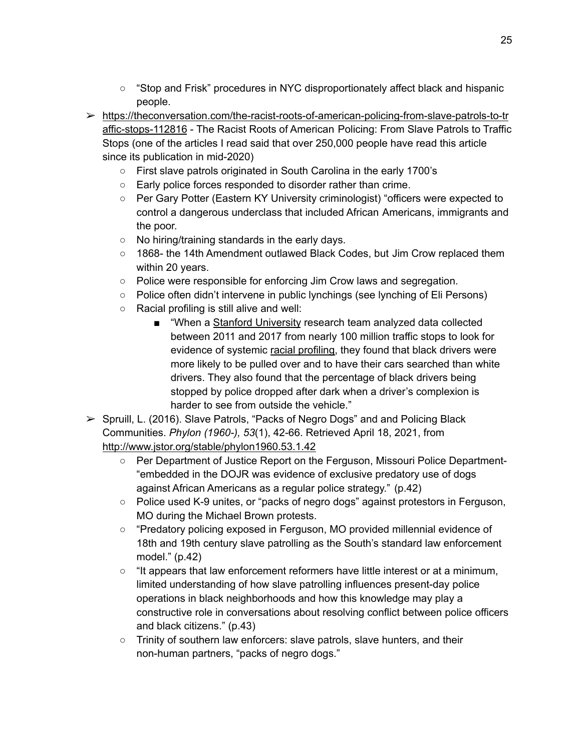- "Stop and Frisk" procedures in NYC disproportionately affect black and hispanic people.
- ➢ [https://theconversation.com/the-racist-roots-of-american-policing-from-slave-patrols-to-tr](https://theconversation.com/the-racist-roots-of-american-policing-from-slave-patrols-to-traffic-stops-112816) [affic-stops-112816](https://theconversation.com/the-racist-roots-of-american-policing-from-slave-patrols-to-traffic-stops-112816) - The Racist Roots of American Policing: From Slave Patrols to Traffic Stops (one of the articles I read said that over 250,000 people have read this article since its publication in mid-2020)
	- First slave patrols originated in South Carolina in the early 1700's
	- Early police forces responded to disorder rather than crime.
	- Per Gary Potter (Eastern KY University criminologist) "officers were expected to control a dangerous underclass that included African Americans, immigrants and the poor.
	- No hiring/training standards in the early days.
	- 1868- the 14th Amendment outlawed Black Codes, but Jim Crow replaced them within 20 years.
	- Police were responsible for enforcing Jim Crow laws and segregation.
	- Police often didn't intervene in public lynchings (see lynching of Eli Persons)
	- Racial profiling is still alive and well:
		- "When a Stanford [University](https://openpolicing.stanford.edu/publications/) research team analyzed data collected between 2011 and 2017 from nearly 100 million traffic stops to look for evidence of systemic racial [profiling,](https://5harad.com/papers/100M-stops.pdf) they found that black drivers were more likely to be pulled over and to have their cars searched than white drivers. They also found that the percentage of black drivers being stopped by police dropped after dark when a driver's complexion is harder to see from outside the vehicle."
- $\triangleright$  Spruill, L. (2016). Slave Patrols, "Packs of Negro Dogs" and and Policing Black Communities. *Phylon (1960-), 53*(1), 42-66. Retrieved April 18, 2021, from <http://www.jstor.org/stable/phylon1960.53.1.42>
	- Per Department of Justice Report on the Ferguson, Missouri Police Department-"embedded in the DOJR was evidence of exclusive predatory use of dogs against African Americans as a regular police strategy." (p.42)
	- Police used K-9 unites, or "packs of negro dogs" against protestors in Ferguson, MO during the Michael Brown protests.
	- "Predatory policing exposed in Ferguson, MO provided millennial evidence of 18th and 19th century slave patrolling as the South's standard law enforcement model." (p.42)
	- "It appears that law enforcement reformers have little interest or at a minimum, limited understanding of how slave patrolling influences present-day police operations in black neighborhoods and how this knowledge may play a constructive role in conversations about resolving conflict between police officers and black citizens." (p.43)
	- Trinity of southern law enforcers: slave patrols, slave hunters, and their non-human partners, "packs of negro dogs."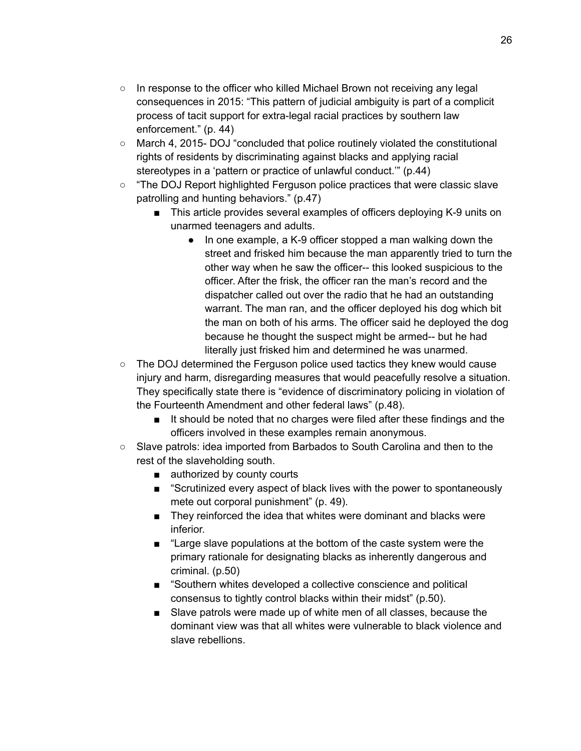- In response to the officer who killed Michael Brown not receiving any legal consequences in 2015: "This pattern of judicial ambiguity is part of a complicit process of tacit support for extra-legal racial practices by southern law enforcement." (p. 44)
- March 4, 2015- DOJ "concluded that police routinely violated the constitutional rights of residents by discriminating against blacks and applying racial stereotypes in a 'pattern or practice of unlawful conduct.'" (p.44)
- "The DOJ Report highlighted Ferguson police practices that were classic slave patrolling and hunting behaviors." (p.47)
	- This article provides several examples of officers deploying K-9 units on unarmed teenagers and adults.
		- In one example, a K-9 officer stopped a man walking down the street and frisked him because the man apparently tried to turn the other way when he saw the officer-- this looked suspicious to the officer. After the frisk, the officer ran the man's record and the dispatcher called out over the radio that he had an outstanding warrant. The man ran, and the officer deployed his dog which bit the man on both of his arms. The officer said he deployed the dog because he thought the suspect might be armed-- but he had literally just frisked him and determined he was unarmed.
- $\circ$  The DOJ determined the Ferguson police used tactics they knew would cause injury and harm, disregarding measures that would peacefully resolve a situation. They specifically state there is "evidence of discriminatory policing in violation of the Fourteenth Amendment and other federal laws" (p.48).
	- It should be noted that no charges were filed after these findings and the officers involved in these examples remain anonymous.
- Slave patrols: idea imported from Barbados to South Carolina and then to the rest of the slaveholding south.
	- authorized by county courts
	- "Scrutinized every aspect of black lives with the power to spontaneously mete out corporal punishment" (p. 49).
	- They reinforced the idea that whites were dominant and blacks were inferior.
	- "Large slave populations at the bottom of the caste system were the primary rationale for designating blacks as inherently dangerous and criminal. (p.50)
	- "Southern whites developed a collective conscience and political consensus to tightly control blacks within their midst" (p.50).
	- Slave patrols were made up of white men of all classes, because the dominant view was that all whites were vulnerable to black violence and slave rebellions.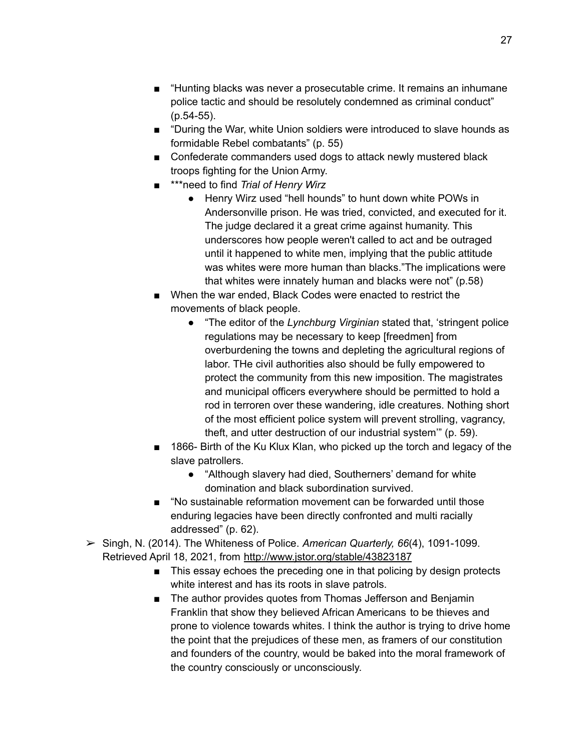- "Hunting blacks was never a prosecutable crime. It remains an inhumane police tactic and should be resolutely condemned as criminal conduct" (p.54-55).
- "During the War, white Union soldiers were introduced to slave hounds as formidable Rebel combatants" (p. 55)
- Confederate commanders used dogs to attack newly mustered black troops fighting for the Union Army.
- \*\*\*need to find *Trial of Henry Wirz*
	- Henry Wirz used "hell hounds" to hunt down white POWs in Andersonville prison. He was tried, convicted, and executed for it. The judge declared it a great crime against humanity. This underscores how people weren't called to act and be outraged until it happened to white men, implying that the public attitude was whites were more human than blacks."The implications were that whites were innately human and blacks were not" (p.58)
- When the war ended, Black Codes were enacted to restrict the movements of black people.
	- "The editor of the *Lynchburg Virginian* stated that, 'stringent police regulations may be necessary to keep [freedmen] from overburdening the towns and depleting the agricultural regions of labor. THe civil authorities also should be fully empowered to protect the community from this new imposition. The magistrates and municipal officers everywhere should be permitted to hold a rod in terroren over these wandering, idle creatures. Nothing short of the most efficient police system will prevent strolling, vagrancy, theft, and utter destruction of our industrial system'" (p. 59).
- 1866- Birth of the Ku Klux Klan, who picked up the torch and legacy of the slave patrollers.
	- "Although slavery had died, Southerners' demand for white domination and black subordination survived.
- "No sustainable reformation movement can be forwarded until those enduring legacies have been directly confronted and multi racially addressed" (p. 62).
- ➢ Singh, N. (2014). The Whiteness of Police. *American Quarterly, 66*(4), 1091-1099. Retrieved April 18, 2021, from <http://www.jstor.org/stable/43823187>
	- This essay echoes the preceding one in that policing by design protects white interest and has its roots in slave patrols.
	- The author provides quotes from Thomas Jefferson and Benjamin Franklin that show they believed African Americans to be thieves and prone to violence towards whites. I think the author is trying to drive home the point that the prejudices of these men, as framers of our constitution and founders of the country, would be baked into the moral framework of the country consciously or unconsciously.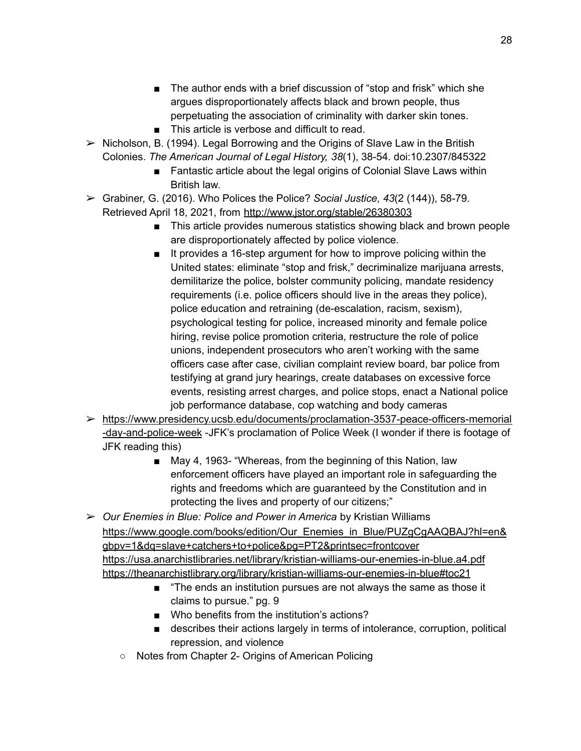- The author ends with a brief discussion of "stop and frisk" which she argues disproportionately affects black and brown people, thus perpetuating the association of criminality with darker skin tones.
- This article is verbose and difficult to read.
- $\triangleright$  Nicholson, B. (1994). Legal Borrowing and the Origins of Slave Law in the British Colonies. *The American Journal of Legal History, 38*(1), 38-54. doi:10.2307/845322
	- Fantastic article about the legal origins of Colonial Slave Laws within British law.
- ➢ Grabiner, G. (2016). Who Polices the Police? *Social Justice, 43*(2 (144)), 58-79. Retrieved April 18, 2021, from <http://www.jstor.org/stable/26380303>
	- This article provides numerous statistics showing black and brown people are disproportionately affected by police violence.
	- It provides a 16-step argument for how to improve policing within the United states: eliminate "stop and frisk," decriminalize marijuana arrests, demilitarize the police, bolster community policing, mandate residency requirements (i.e. police officers should live in the areas they police), police education and retraining (de-escalation, racism, sexism), psychological testing for police, increased minority and female police hiring, revise police promotion criteria, restructure the role of police unions, independent prosecutors who aren't working with the same officers case after case, civilian complaint review board, bar police from testifying at grand jury hearings, create databases on excessive force events, resisting arrest charges, and police stops, enact a National police job performance database, cop watching and body cameras
- ➢ [https://www.presidency.ucsb.edu/documents/proclamation-3537-peace-officers-memorial](https://www.presidency.ucsb.edu/documents/proclamation-3537-peace-officers-memorial-day-and-police-week) [-day-and-police-week](https://www.presidency.ucsb.edu/documents/proclamation-3537-peace-officers-memorial-day-and-police-week) -JFK's proclamation of Police Week (I wonder if there is footage of JFK reading this)
	- May 4, 1963- "Whereas, from the beginning of this Nation, law enforcement officers have played an important role in safeguarding the rights and freedoms which are guaranteed by the Constitution and in protecting the lives and property of our citizens;"
- ➢ *Our Enemies in Blue: Police and Power in America* by Kristian Williams [https://www.google.com/books/edition/Our\\_Enemies\\_in\\_Blue/PUZgCgAAQBAJ?hl=en&](https://www.google.com/books/edition/Our_Enemies_in_Blue/PUZgCgAAQBAJ?hl=en&gbpv=1&dq=slave+catchers+to+police&pg=PT2&printsec=frontcover) [gbpv=1&dq=slave+catchers+to+police&pg=PT2&printsec=frontcover](https://www.google.com/books/edition/Our_Enemies_in_Blue/PUZgCgAAQBAJ?hl=en&gbpv=1&dq=slave+catchers+to+police&pg=PT2&printsec=frontcover) <https://usa.anarchistlibraries.net/library/kristian-williams-our-enemies-in-blue.a4.pdf> <https://theanarchistlibrary.org/library/kristian-williams-our-enemies-in-blue#toc21>
	- "The ends an institution pursues are not always the same as those it claims to pursue." pg. 9
	- Who benefits from the institution's actions?
	- describes their actions largely in terms of intolerance, corruption, political repression, and violence
	- Notes from Chapter 2- Origins of American Policing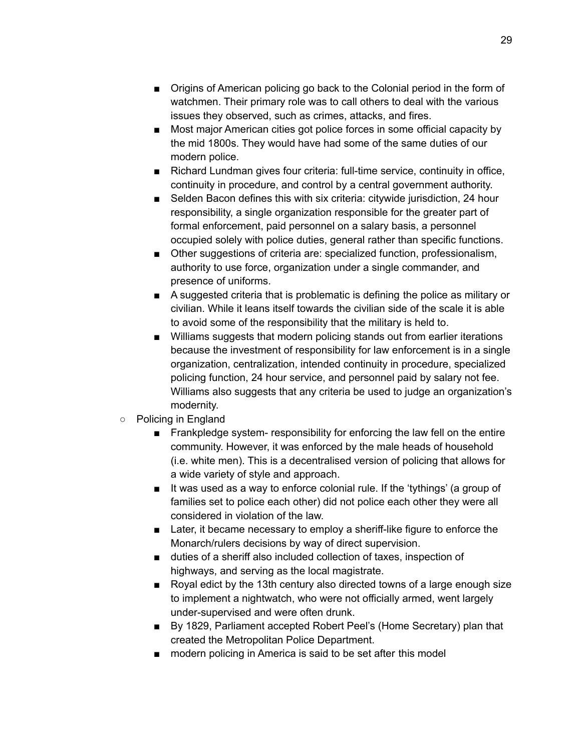- Origins of American policing go back to the Colonial period in the form of watchmen. Their primary role was to call others to deal with the various issues they observed, such as crimes, attacks, and fires.
- Most major American cities got police forces in some official capacity by the mid 1800s. They would have had some of the same duties of our modern police.
- Richard Lundman gives four criteria: full-time service, continuity in office, continuity in procedure, and control by a central government authority.
- Selden Bacon defines this with six criteria: citywide jurisdiction, 24 hour responsibility, a single organization responsible for the greater part of formal enforcement, paid personnel on a salary basis, a personnel occupied solely with police duties, general rather than specific functions.
- Other suggestions of criteria are: specialized function, professionalism, authority to use force, organization under a single commander, and presence of uniforms.
- A suggested criteria that is problematic is defining the police as military or civilian. While it leans itself towards the civilian side of the scale it is able to avoid some of the responsibility that the military is held to.
- Williams suggests that modern policing stands out from earlier iterations because the investment of responsibility for law enforcement is in a single organization, centralization, intended continuity in procedure, specialized policing function, 24 hour service, and personnel paid by salary not fee. Williams also suggests that any criteria be used to judge an organization's modernity.
- Policing in England
	- Frankpledge system- responsibility for enforcing the law fell on the entire community. However, it was enforced by the male heads of household (i.e. white men). This is a decentralised version of policing that allows for a wide variety of style and approach.
	- It was used as a way to enforce colonial rule. If the 'tythings' (a group of families set to police each other) did not police each other they were all considered in violation of the law.
	- Later, it became necessary to employ a sheriff-like figure to enforce the Monarch/rulers decisions by way of direct supervision.
	- duties of a sheriff also included collection of taxes, inspection of highways, and serving as the local magistrate.
	- Royal edict by the 13th century also directed towns of a large enough size to implement a nightwatch, who were not officially armed, went largely under-supervised and were often drunk.
	- By 1829, Parliament accepted Robert Peel's (Home Secretary) plan that created the Metropolitan Police Department.
	- modern policing in America is said to be set after this model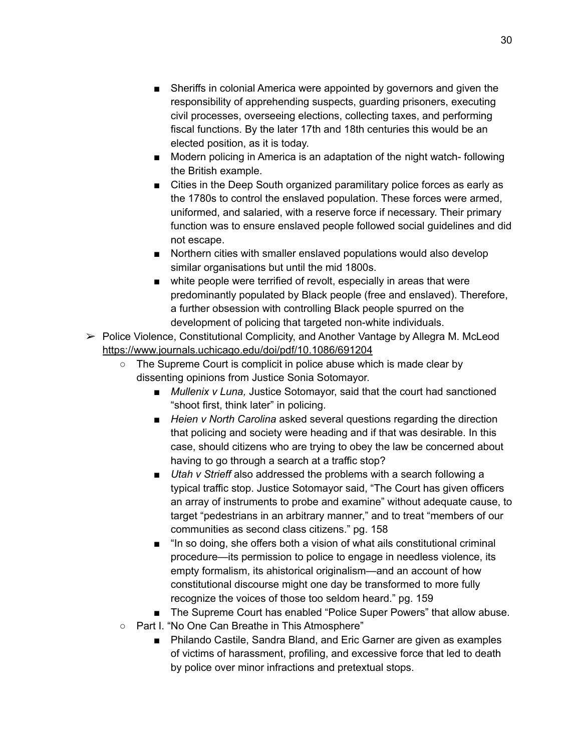- Sheriffs in colonial America were appointed by governors and given the responsibility of apprehending suspects, guarding prisoners, executing civil processes, overseeing elections, collecting taxes, and performing fiscal functions. By the later 17th and 18th centuries this would be an elected position, as it is today.
- Modern policing in America is an adaptation of the night watch- following the British example.
- Cities in the Deep South organized paramilitary police forces as early as the 1780s to control the enslaved population. These forces were armed, uniformed, and salaried, with a reserve force if necessary. Their primary function was to ensure enslaved people followed social guidelines and did not escape.
- Northern cities with smaller enslaved populations would also develop similar organisations but until the mid 1800s.
- white people were terrified of revolt, especially in areas that were predominantly populated by Black people (free and enslaved). Therefore, a further obsession with controlling Black people spurred on the development of policing that targeted non-white individuals.
- $\triangleright$  Police Violence, Constitutional Complicity, and Another Vantage by Allegra M. McLeod <https://www.journals.uchicago.edu/doi/pdf/10.1086/691204>
	- The Supreme Court is complicit in police abuse which is made clear by dissenting opinions from Justice Sonia Sotomayor.
		- *■ Mullenix v Luna,* Justice Sotomayor, said that the court had sanctioned "shoot first, think later" in policing.
		- *■ Heien v North Carolina* asked several questions regarding the direction that policing and society were heading and if that was desirable. In this case, should citizens who are trying to obey the law be concerned about having to go through a search at a traffic stop?
		- *■ Utah v Strieff* also addressed the problems with a search following a typical traffic stop. Justice Sotomayor said, "The Court has given officers an array of instruments to probe and examine" without adequate cause, to target "pedestrians in an arbitrary manner," and to treat "members of our communities as second class citizens." pg. 158
		- "In so doing, she offers both a vision of what ails constitutional criminal procedure—its permission to police to engage in needless violence, its empty formalism, its ahistorical originalism—and an account of how constitutional discourse might one day be transformed to more fully recognize the voices of those too seldom heard." pg. 159
		- The Supreme Court has enabled "Police Super Powers" that allow abuse.
	- Part I. "No One Can Breathe in This Atmosphere"
		- Philando Castile, Sandra Bland, and Eric Garner are given as examples of victims of harassment, profiling, and excessive force that led to death by police over minor infractions and pretextual stops.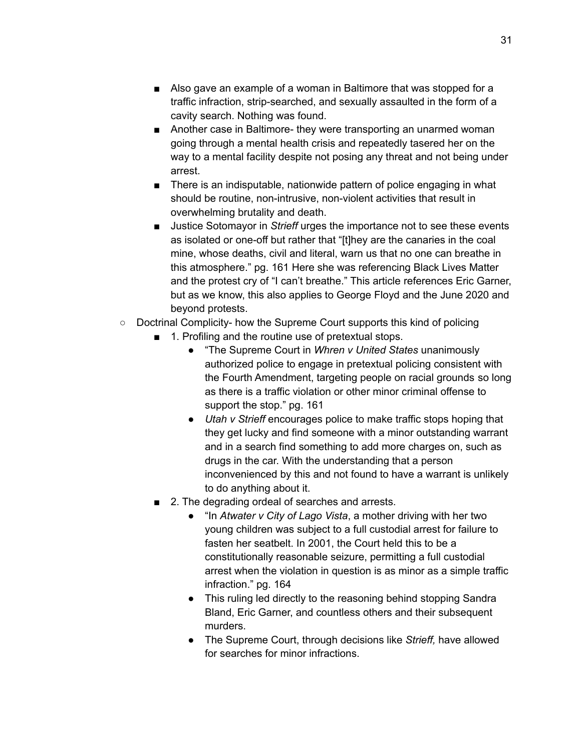- Also gave an example of a woman in Baltimore that was stopped for a traffic infraction, strip-searched, and sexually assaulted in the form of a cavity search. Nothing was found.
- Another case in Baltimore- they were transporting an unarmed woman going through a mental health crisis and repeatedly tasered her on the way to a mental facility despite not posing any threat and not being under arrest.
- There is an indisputable, nationwide pattern of police engaging in what should be routine, non-intrusive, non-violent activities that result in overwhelming brutality and death.
- Justice Sotomayor in *Strieff* urges the importance not to see these events as isolated or one-off but rather that "[t]hey are the canaries in the coal mine, whose deaths, civil and literal, warn us that no one can breathe in this atmosphere." pg. 161 Here she was referencing Black Lives Matter and the protest cry of "I can't breathe." This article references Eric Garner, but as we know, this also applies to George Floyd and the June 2020 and beyond protests.
- Doctrinal Complicity- how the Supreme Court supports this kind of policing
	- 1. Profiling and the routine use of pretextual stops.
		- "The Supreme Court in *Whren v United States* unanimously authorized police to engage in pretextual policing consistent with the Fourth Amendment, targeting people on racial grounds so long as there is a traffic violation or other minor criminal offense to support the stop." pg. 161
		- *Utah v Strieff* encourages police to make traffic stops hoping that they get lucky and find someone with a minor outstanding warrant and in a search find something to add more charges on, such as drugs in the car. With the understanding that a person inconvenienced by this and not found to have a warrant is unlikely to do anything about it.
	- 2. The degrading ordeal of searches and arrests.
		- "In *Atwater v City of Lago Vista*, a mother driving with her two young children was subject to a full custodial arrest for failure to fasten her seatbelt. In 2001, the Court held this to be a constitutionally reasonable seizure, permitting a full custodial arrest when the violation in question is as minor as a simple traffic infraction." pg. 164
		- This ruling led directly to the reasoning behind stopping Sandra Bland, Eric Garner, and countless others and their subsequent murders.
		- The Supreme Court, through decisions like *Strieff,* have allowed for searches for minor infractions.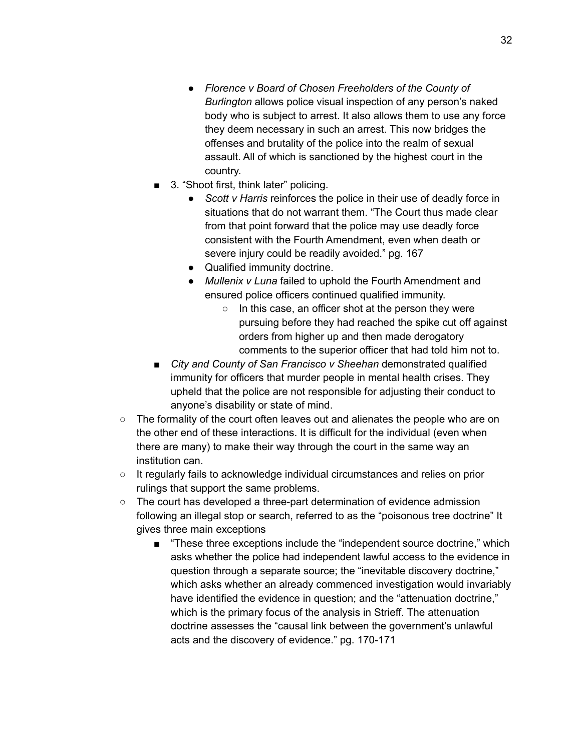- *● Florence v Board of Chosen Freeholders of the County of Burlington* allows police visual inspection of any person's naked body who is subject to arrest. It also allows them to use any force they deem necessary in such an arrest. This now bridges the offenses and brutality of the police into the realm of sexual assault. All of which is sanctioned by the highest court in the country.
- 3. "Shoot first, think later" policing.
	- *● Scott v Harris* reinforces the police in their use of deadly force in situations that do not warrant them. "The Court thus made clear from that point forward that the police may use deadly force consistent with the Fourth Amendment, even when death or severe injury could be readily avoided." pg. 167
	- Qualified immunity doctrine.
	- *● Mullenix v Luna* failed to uphold the Fourth Amendment and ensured police officers continued qualified immunity.
		- In this case, an officer shot at the person they were pursuing before they had reached the spike cut off against orders from higher up and then made derogatory comments to the superior officer that had told him not to.
- *■ City and County of San Francisco v Sheehan* demonstrated qualified immunity for officers that murder people in mental health crises. They upheld that the police are not responsible for adjusting their conduct to anyone's disability or state of mind.
- The formality of the court often leaves out and alienates the people who are on the other end of these interactions. It is difficult for the individual (even when there are many) to make their way through the court in the same way an institution can.
- It regularly fails to acknowledge individual circumstances and relies on prior rulings that support the same problems.
- The court has developed a three-part determination of evidence admission following an illegal stop or search, referred to as the "poisonous tree doctrine" It gives three main exceptions
	- "These three exceptions include the "independent source doctrine," which asks whether the police had independent lawful access to the evidence in question through a separate source; the "inevitable discovery doctrine," which asks whether an already commenced investigation would invariably have identified the evidence in question; and the "attenuation doctrine," which is the primary focus of the analysis in Strieff. The attenuation doctrine assesses the "causal link between the government's unlawful acts and the discovery of evidence." pg. 170-171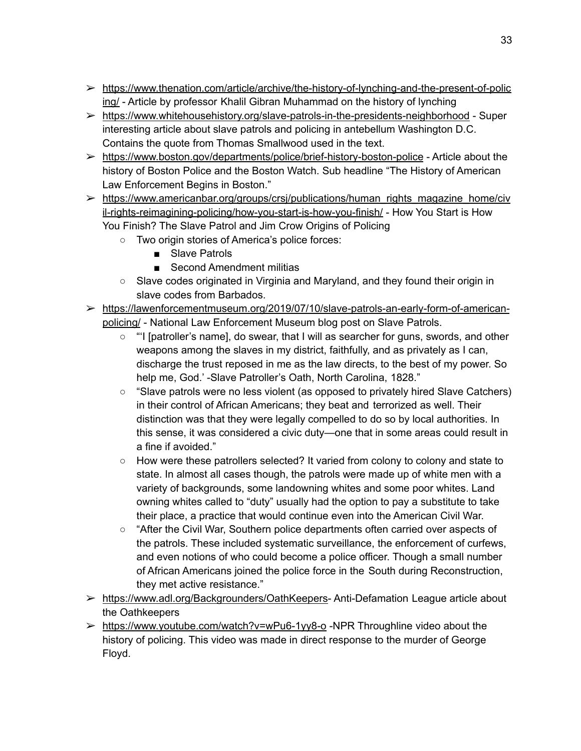- ➢ [https://www.thenation.com/article/archive/the-history-of-lynching-and-the-present-of-polic](https://www.thenation.com/article/archive/the-history-of-lynching-and-the-present-of-policing/) [ing/](https://www.thenation.com/article/archive/the-history-of-lynching-and-the-present-of-policing/) - Article by professor Khalil Gibran [Muhammad](https://www.thenation.com/authors/khalil-gibran-muhammad/) on the history of lynching
- ➢ <https://www.whitehousehistory.org/slave-patrols-in-the-presidents-neighborhood> Super interesting article about slave patrols and policing in antebellum Washington D.C. Contains the quote from Thomas Smallwood used in the text.
- $\triangleright$  <https://www.boston.gov/departments/police/brief-history-boston-police> Article about the history of Boston Police and the Boston Watch. Sub headline "The History of American Law Enforcement Begins in Boston."
- ➢ [https://www.americanbar.org/groups/crsj/publications/human\\_rights\\_magazine\\_home/civ](https://www.americanbar.org/groups/crsj/publications/human_rights_magazine_home/civil-rights-reimagining-policing/how-you-start-is-how-you-finish/) [il-rights-reimagining-policing/how-you-start-is-how-you-finish/](https://www.americanbar.org/groups/crsj/publications/human_rights_magazine_home/civil-rights-reimagining-policing/how-you-start-is-how-you-finish/) - How You Start is How You Finish? The Slave Patrol and Jim Crow Origins of Policing
	- Two origin stories of America's police forces:
		- Slave Patrols
		- Second Amendment militias
	- Slave codes originated in Virginia and Maryland, and they found their origin in slave codes from Barbados.
- ➢ [https://lawenforcementmuseum.org/2019/07/10/slave-patrols-an-early-form-of-american](https://lawenforcementmuseum.org/2019/07/10/slave-patrols-an-early-form-of-american-policing/)[policing/](https://lawenforcementmuseum.org/2019/07/10/slave-patrols-an-early-form-of-american-policing/) - National Law Enforcement Museum blog post on Slave Patrols.
	- "I [patroller's name], do swear, that I will as searcher for guns, swords, and other weapons among the slaves in my district, faithfully, and as privately as I can, discharge the trust reposed in me as the law directs, to the best of my power. So help me, God.' -Slave Patroller's Oath, North Carolina, 1828."
	- "Slave patrols were no less violent (as opposed to privately hired Slave Catchers) in their control of African Americans; they beat and terrorized as well. Their distinction was that they were legally compelled to do so by local authorities. In this sense, it was considered a civic duty—one that in some areas could result in a fine if avoided."
	- How were these patrollers selected? It varied from colony to colony and state to state. In almost all cases though, the patrols were made up of white men with a variety of backgrounds, some landowning whites and some poor whites. Land owning whites called to "duty" usually had the option to pay a substitute to take their place, a practice that would continue even into the American Civil War.
	- "After the Civil War, Southern police departments often carried over aspects of the patrols. These included systematic surveillance, the enforcement of curfews, and even notions of who could become a police officer. Though a small number of African Americans joined the police force in the South during Reconstruction, they met active resistance."
- ➢ [https://www.adl.org/Backgrounders/OathKeepers-](https://www.adl.org/Backgrounders/OathKeepers) Anti-Defamation League article about the Oathkeepers
- ➢ <https://www.youtube.com/watch?v=wPu6-1yy8-o> -NPR Throughline video about the history of policing. This video was made in direct response to the murder of George Floyd.